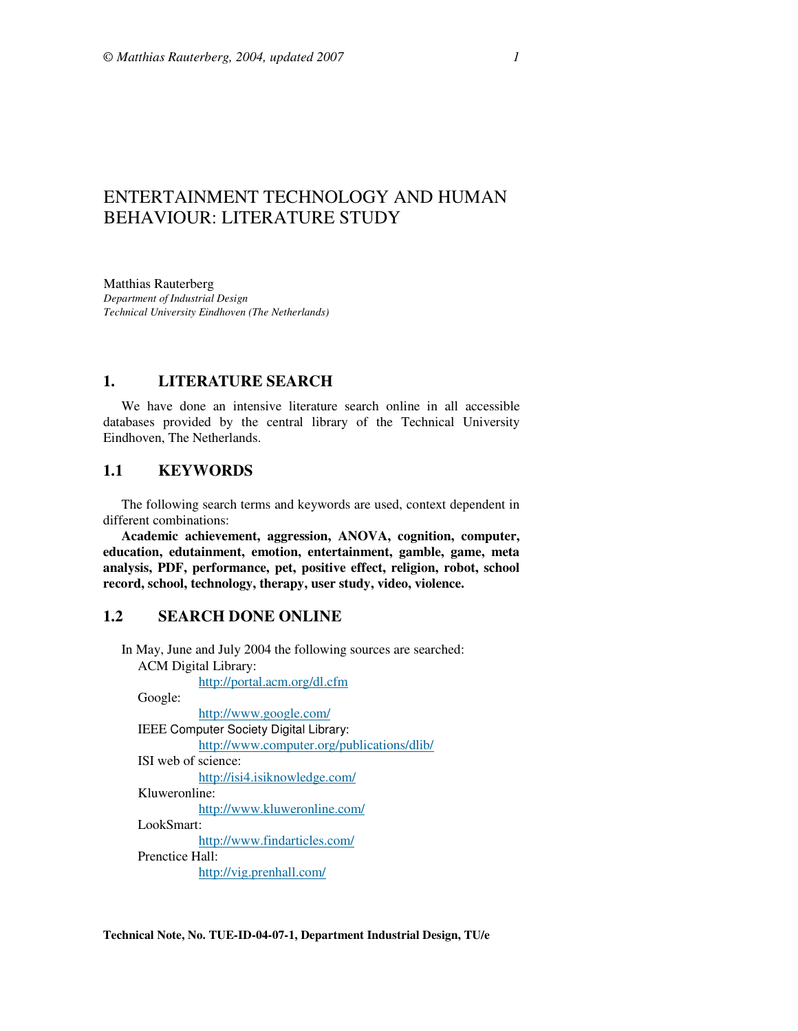# ENTERTAINMENT TECHNOLOGY AND HUMAN BEHAVIOUR: LITERATURE STUDY

Matthias Rauterberg *Department of Industrial Design Technical University Eindhoven (The Netherlands)* 

## **1. LITERATURE SEARCH**

We have done an intensive literature search online in all accessible databases provided by the central library of the Technical University Eindhoven, The Netherlands.

## **1.1 KEYWORDS**

The following search terms and keywords are used, context dependent in different combinations:

**Academic achievement, aggression, ANOVA, cognition, computer, education, edutainment, emotion, entertainment, gamble, game, meta analysis, PDF, performance, pet, positive effect, religion, robot, school record, school, technology, therapy, user study, video, violence.** 

# **1.2 SEARCH DONE ONLINE**

In May, June and July 2004 the following sources are searched: ACM Digital Library:

http://portal.acm.org/dl.cfm

Google:

http://www.google.com/ IEEE Computer Society Digital Library: http://www.computer.org/publications/dlib/ ISI web of science: http://isi4.isiknowledge.com/ Kluweronline: http://www.kluweronline.com/

LookSmart:

http://www.findarticles.com/

Prenctice Hall:

http://vig.prenhall.com/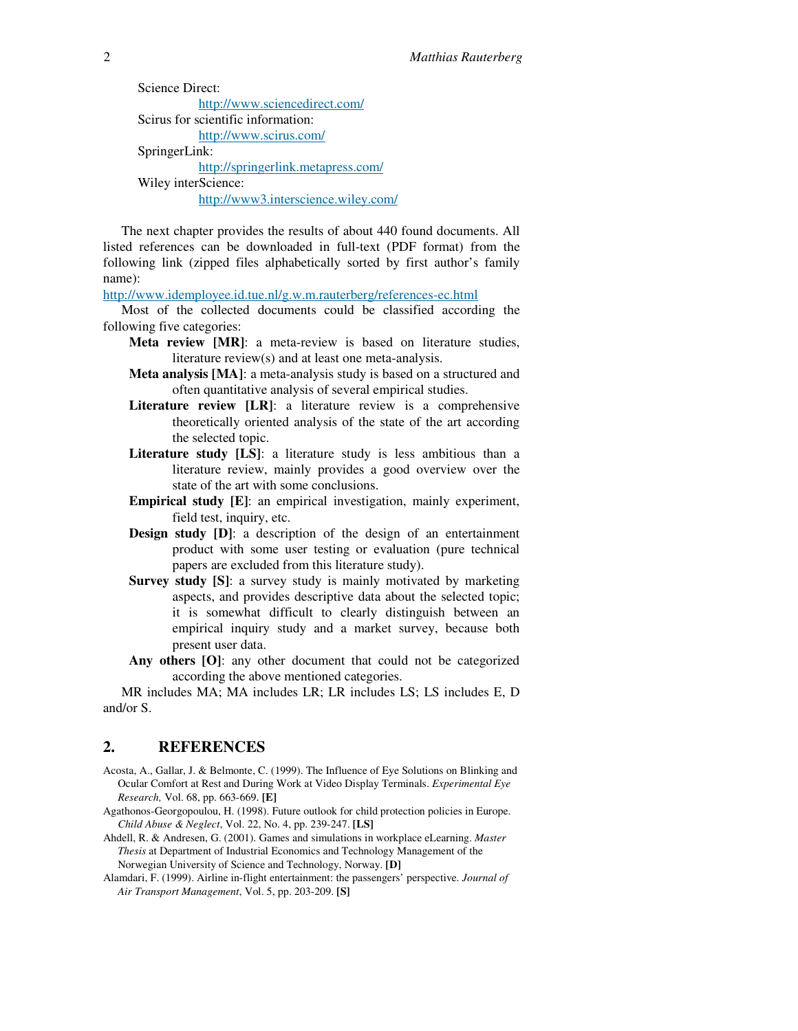Science Direct: http://www.sciencedirect.com/ Scirus for scientific information: http://www.scirus.com/ SpringerLink: http://springerlink.metapress.com/ Wiley interScience: http://www3.interscience.wiley.com/

The next chapter provides the results of about 440 found documents. All listed references can be downloaded in full-text (PDF format) from the following link (zipped files alphabetically sorted by first author's family name):

http://www.idemployee.id.tue.nl/g.w.m.rauterberg/references-ec.html

Most of the collected documents could be classified according the following five categories:

- **Meta review [MR]**: a meta-review is based on literature studies, literature review(s) and at least one meta-analysis.
- **Meta analysis [MA]**: a meta-analysis study is based on a structured and often quantitative analysis of several empirical studies.
- **Literature review [LR]**: a literature review is a comprehensive theoretically oriented analysis of the state of the art according the selected topic.
- **Literature study [LS]:** a literature study is less ambitious than a literature review, mainly provides a good overview over the state of the art with some conclusions.
- **Empirical study [E]**: an empirical investigation, mainly experiment, field test, inquiry, etc.
- **Design study [D]**: a description of the design of an entertainment product with some user testing or evaluation (pure technical papers are excluded from this literature study).
- **Survey study [S]:** a survey study is mainly motivated by marketing aspects, and provides descriptive data about the selected topic; it is somewhat difficult to clearly distinguish between an empirical inquiry study and a market survey, because both present user data.
- **Any others [O]**: any other document that could not be categorized according the above mentioned categories.

MR includes MA; MA includes LR; LR includes LS; LS includes E, D and/or S.

# **2. REFERENCES**

- Acosta, A., Gallar, J. & Belmonte, C. (1999). The Influence of Eye Solutions on Blinking and Ocular Comfort at Rest and During Work at Video Display Terminals. *Experimental Eye Research,* Vol. 68, pp. 663-669. **[E]**
- Agathonos-Georgopoulou, H. (1998). Future outlook for child protection policies in Europe. *Child Abuse & Neglect*, Vol. 22, No. 4, pp. 239-247. **[LS]**
- Ahdell, R. & Andresen, G. (2001). Games and simulations in workplace eLearning. *Master Thesis* at Department of Industrial Economics and Technology Management of the Norwegian University of Science and Technology, Norway. **[D]**
- Alamdari, F. (1999). Airline in-flight entertainment: the passengers' perspective. *Journal of Air Transport Management*, Vol. 5, pp. 203-209. **[S]**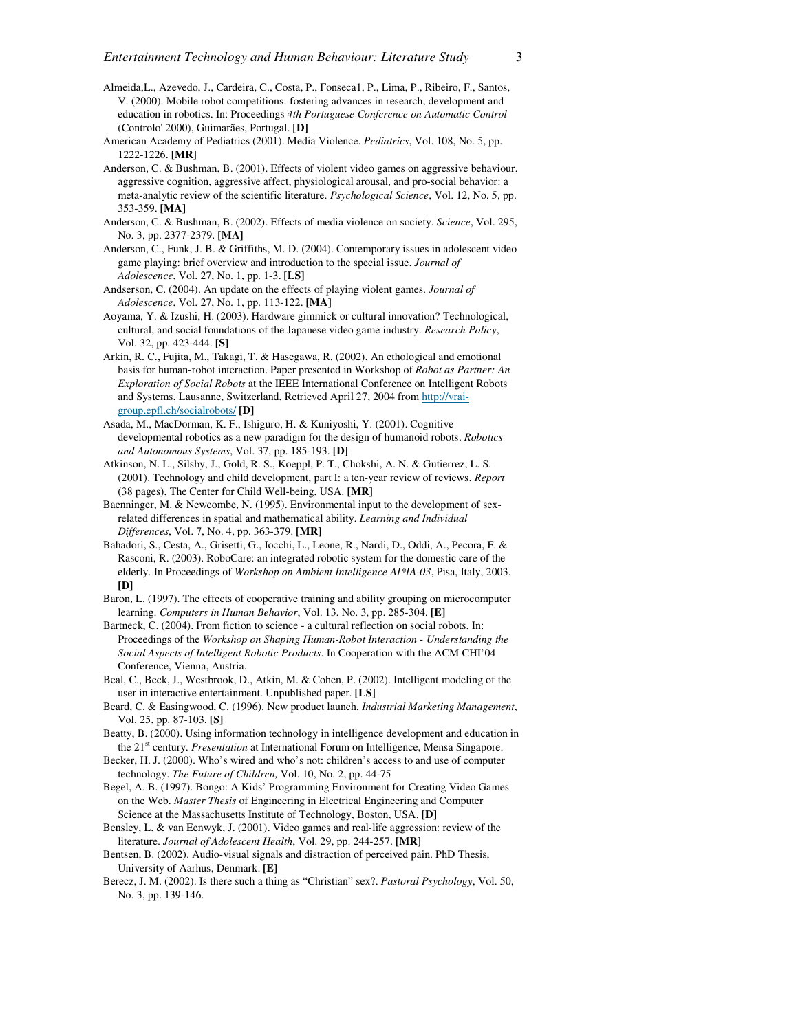- Almeida,L., Azevedo, J., Cardeira, C., Costa, P., Fonseca1, P., Lima, P., Ribeiro, F., Santos, V. (2000). Mobile robot competitions: fostering advances in research, development and education in robotics. In: Proceedings *4th Portuguese Conference on Automatic Control* (Controlo' 2000), Guimarães, Portugal. **[D]**
- American Academy of Pediatrics (2001). Media Violence. *Pediatrics*, Vol. 108, No. 5, pp. 1222-1226. **[MR]**
- Anderson, C. & Bushman, B. (2001). Effects of violent video games on aggressive behaviour, aggressive cognition, aggressive affect, physiological arousal, and pro-social behavior: a meta-analytic review of the scientific literature. *Psychological Science*, Vol. 12, No. 5, pp. 353-359. **[MA]**
- Anderson, C. & Bushman, B. (2002). Effects of media violence on society. *Science*, Vol. 295, No. 3, pp. 2377-2379. **[MA]**
- Anderson, C., Funk, J. B. & Griffiths, M. D. (2004). Contemporary issues in adolescent video game playing: brief overview and introduction to the special issue. *Journal of Adolescence*, Vol. 27, No. 1, pp. 1-3. **[LS]**
- Andserson, C. (2004). An update on the effects of playing violent games. *Journal of Adolescence*, Vol. 27, No. 1, pp. 113-122. **[MA]**
- Aoyama, Y. & Izushi, H. (2003). Hardware gimmick or cultural innovation? Technological, cultural, and social foundations of the Japanese video game industry. *Research Policy*, Vol. 32, pp. 423-444. **[S]**
- Arkin, R. C., Fujita, M., Takagi, T. & Hasegawa, R. (2002). An ethological and emotional basis for human-robot interaction. Paper presented in Workshop of *Robot as Partner: An Exploration of Social Robots* at the IEEE International Conference on Intelligent Robots and Systems, Lausanne, Switzerland, Retrieved April 27, 2004 from http://vraigroup.epfl.ch/socialrobots/ **[D]**
- Asada, M., MacDorman, K. F., Ishiguro, H. & Kuniyoshi, Y. (2001). Cognitive developmental robotics as a new paradigm for the design of humanoid robots. *Robotics and Autonomous Systems*, Vol. 37, pp. 185-193. **[D]**
- Atkinson, N. L., Silsby, J., Gold, R. S., Koeppl, P. T., Chokshi, A. N. & Gutierrez, L. S. (2001). Technology and child development, part I: a ten-year review of reviews. *Report*  (38 pages), The Center for Child Well-being, USA. **[MR]**
- Baenninger, M. & Newcombe, N. (1995). Environmental input to the development of sexrelated differences in spatial and mathematical ability. *Learning and Individual Differences*, Vol. 7, No. 4, pp. 363-379. **[MR]**
- Bahadori, S., Cesta, A., Grisetti, G., Iocchi, L., Leone, R., Nardi, D., Oddi, A., Pecora, F. & Rasconi, R. (2003). RoboCare: an integrated robotic system for the domestic care of the elderly. In Proceedings of *Workshop on Ambient Intelligence AI\*IA-03*, Pisa, Italy, 2003. **[D]**
- Baron, L. (1997). The effects of cooperative training and ability grouping on microcomputer learning. *Computers in Human Behavior*, Vol. 13, No. 3, pp. 285-304. **[E]**
- Bartneck, C. (2004). From fiction to science a cultural reflection on social robots. In: Proceedings of the *Workshop on Shaping Human-Robot Interaction - Understanding the Social Aspects of Intelligent Robotic Products*. In Cooperation with the ACM CHI'04 Conference, Vienna, Austria.
- Beal, C., Beck, J., Westbrook, D., Atkin, M. & Cohen, P. (2002). Intelligent modeling of the user in interactive entertainment. Unpublished paper. **[LS]**
- Beard, C. & Easingwood, C. (1996). New product launch. *Industrial Marketing Management*, Vol. 25, pp. 87-103. **[S]**
- Beatty, B. (2000). Using information technology in intelligence development and education in the 21<sup>st</sup> century. *Presentation* at International Forum on Intelligence, Mensa Singapore.
- Becker, H. J. (2000). Who's wired and who's not: children's access to and use of computer technology. *The Future of Children,* Vol. 10, No. 2, pp. 44-75
- Begel, A. B. (1997). Bongo: A Kids' Programming Environment for Creating Video Games on the Web. *Master Thesis* of Engineering in Electrical Engineering and Computer Science at the Massachusetts Institute of Technology, Boston, USA. **[D]**
- Bensley, L. & van Eenwyk, J. (2001). Video games and real-life aggression: review of the literature. *Journal of Adolescent Health*, Vol. 29, pp. 244-257. **[MR]**
- Bentsen, B. (2002). Audio-visual signals and distraction of perceived pain. PhD Thesis, University of Aarhus, Denmark. **[E]**
- Berecz, J. M. (2002). Is there such a thing as "Christian" sex?. *Pastoral Psychology*, Vol. 50, No. 3, pp. 139-146.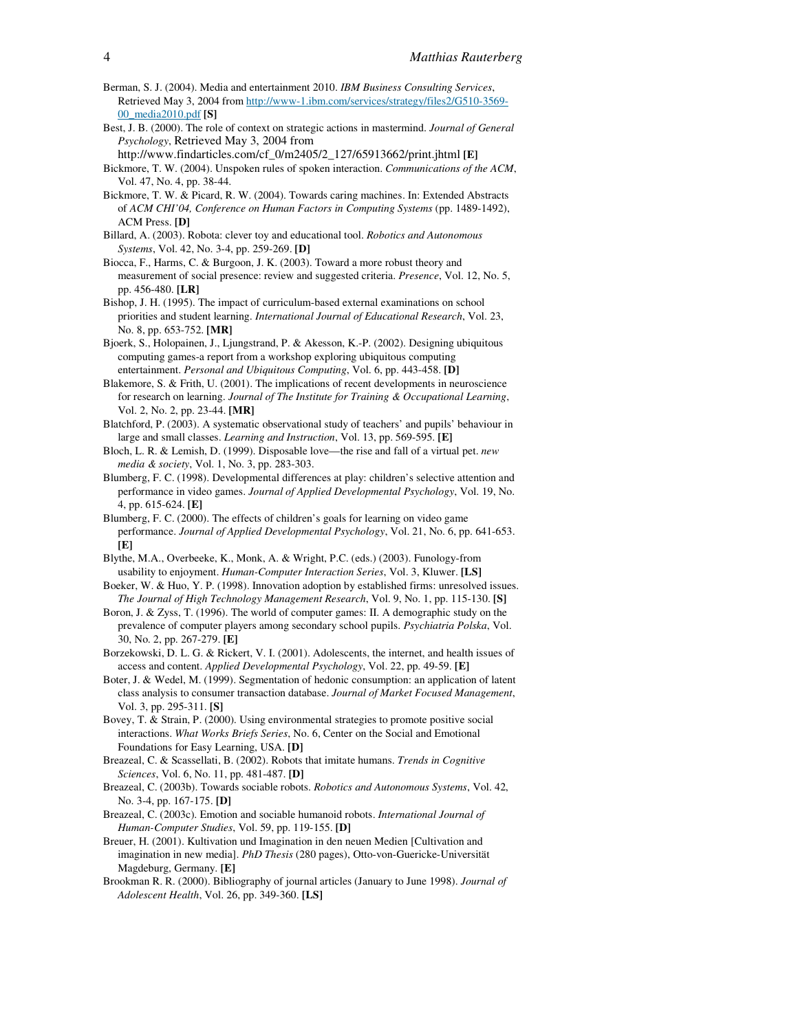- Berman, S. J. (2004). Media and entertainment 2010. *IBM Business Consulting Services*, Retrieved May 3, 2004 from http://www-1.ibm.com/services/strategy/files2/G510-3569- 00\_media2010.pdf **[S]**
- Best, J. B. (2000). The role of context on strategic actions in mastermind. *Journal of General Psychology*, Retrieved May 3, 2004 from
- http://www.findarticles.com/cf\_0/m2405/2\_127/65913662/print.jhtml **[E]** Bickmore, T. W. (2004). Unspoken rules of spoken interaction. *Communications of the ACM*, Vol. 47, No. 4, pp. 38-44.
- Bickmore, T. W. & Picard, R. W. (2004). Towards caring machines. In: Extended Abstracts of *ACM CHI'04, Conference on Human Factors in Computing Systems* (pp. 1489-1492), ACM Press. **[D]**
- Billard, A. (2003). Robota: clever toy and educational tool. *Robotics and Autonomous Systems*, Vol. 42, No. 3-4, pp. 259-269. **[D]**
- Biocca, F., Harms, C. & Burgoon, J. K. (2003). Toward a more robust theory and measurement of social presence: review and suggested criteria. *Presence*, Vol. 12, No. 5, pp. 456-480. **[LR]**
- Bishop, J. H. (1995). The impact of curriculum-based external examinations on school priorities and student learning. *International Journal of Educational Research*, Vol. 23, No. 8, pp. 653-752. **[MR]**
- Bjoerk, S., Holopainen, J., Ljungstrand, P. & Akesson, K.-P. (2002). Designing ubiquitous computing games-a report from a workshop exploring ubiquitous computing entertainment. *Personal and Ubiquitous Computing*, Vol. 6, pp. 443-458. **[D]**
- Blakemore, S. & Frith, U. (2001). The implications of recent developments in neuroscience for research on learning. *Journal of The Institute for Training & Occupational Learning*, Vol. 2, No. 2, pp. 23-44. **[MR]**
- Blatchford, P. (2003). A systematic observational study of teachers' and pupils' behaviour in large and small classes. *Learning and Instruction*, Vol. 13, pp. 569-595. **[E]**
- Bloch, L. R. & Lemish, D. (1999). Disposable love—the rise and fall of a virtual pet. *new media & society*, Vol. 1, No. 3, pp. 283-303.
- Blumberg, F. C. (1998). Developmental differences at play: children's selective attention and performance in video games. *Journal of Applied Developmental Psychology*, Vol. 19, No. 4, pp. 615-624. **[E]**
- Blumberg, F. C. (2000). The effects of children's goals for learning on video game performance. *Journal of Applied Developmental Psychology*, Vol. 21, No. 6, pp. 641-653. **[E]**
- Blythe, M.A., Overbeeke, K., Monk, A. & Wright, P.C. (eds.) (2003). Funology-from usability to enjoyment. *Human-Computer Interaction Series*, Vol. 3, Kluwer. **[LS]**
- Boeker, W. & Huo, Y. P. (1998). Innovation adoption by established firms: unresolved issues. *The Journal of High Technology Management Research*, Vol. 9, No. 1, pp. 115-130. **[S]**
- Boron, J. & Zyss, T. (1996). The world of computer games: II. A demographic study on the prevalence of computer players among secondary school pupils. *Psychiatria Polska*, Vol. 30, No. 2, pp. 267-279. **[E]**
- Borzekowski, D. L. G. & Rickert, V. I. (2001). Adolescents, the internet, and health issues of access and content. *Applied Developmental Psychology*, Vol. 22, pp. 49-59. **[E]**
- Boter, J. & Wedel, M. (1999). Segmentation of hedonic consumption: an application of latent class analysis to consumer transaction database. *Journal of Market Focused Management*, Vol. 3, pp. 295-311. **[S]**
- Bovey, T. & Strain, P. (2000). Using environmental strategies to promote positive social interactions. *What Works Briefs Series*, No. 6, Center on the Social and Emotional Foundations for Easy Learning, USA. **[D]**
- Breazeal, C. & Scassellati, B. (2002). Robots that imitate humans. *Trends in Cognitive Sciences*, Vol. 6, No. 11, pp. 481-487. **[D]**
- Breazeal, C. (2003b). Towards sociable robots. *Robotics and Autonomous Systems*, Vol. 42, No. 3-4, pp. 167-175. **[D]**
- Breazeal, C. (2003c). Emotion and sociable humanoid robots. *International Journal of Human-Computer Studies*, Vol. 59, pp. 119-155. **[D]**
- Breuer, H. (2001). Kultivation und Imagination in den neuen Medien [Cultivation and imagination in new media]. *PhD Thesis* (280 pages), Otto-von-Guericke-Universität Magdeburg, Germany. **[E]**
- Brookman R. R. (2000). Bibliography of journal articles (January to June 1998). *Journal of Adolescent Health*, Vol. 26, pp. 349-360. **[LS]**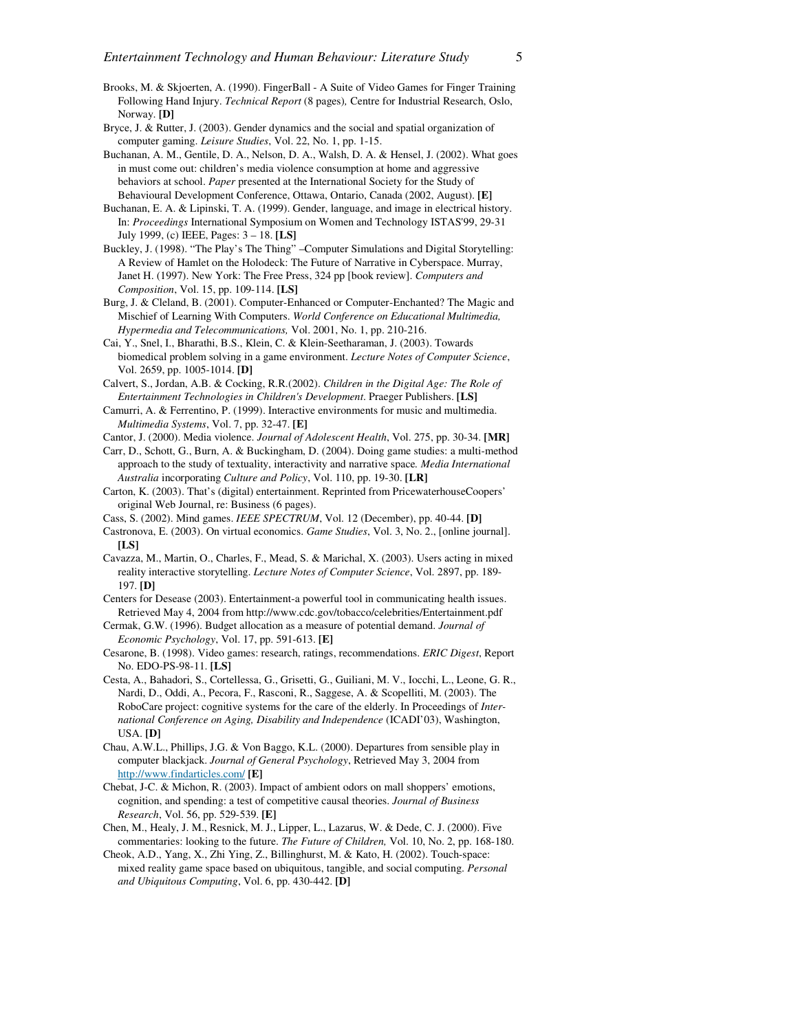- Brooks, M. & Skjoerten, A. (1990). FingerBall A Suite of Video Games for Finger Training Following Hand Injury. *Technical Report* (8 pages)*,* Centre for Industrial Research, Oslo, Norway. **[D]**
- Bryce, J. & Rutter, J. (2003). Gender dynamics and the social and spatial organization of computer gaming. *Leisure Studies*, Vol. 22, No. 1, pp. 1-15.
- Buchanan, A. M., Gentile, D. A., Nelson, D. A., Walsh, D. A. & Hensel, J. (2002). What goes in must come out: children's media violence consumption at home and aggressive behaviors at school. *Paper* presented at the International Society for the Study of Behavioural Development Conference, Ottawa, Ontario, Canada (2002, August). **[E]**
- Buchanan, E. A. & Lipinski, T. A. (1999). Gender, language, and image in electrical history. In: *Proceedings* International Symposium on Women and Technology ISTAS'99, 29-31 July 1999, (c) IEEE, Pages: 3 – 18. **[LS]**
- Buckley, J. (1998). "The Play's The Thing" –Computer Simulations and Digital Storytelling: A Review of Hamlet on the Holodeck: The Future of Narrative in Cyberspace. Murray, Janet H. (1997). New York: The Free Press, 324 pp [book review]. *Computers and Composition*, Vol. 15, pp. 109-114. **[LS]**
- Burg, J. & Cleland, B. (2001). Computer-Enhanced or Computer-Enchanted? The Magic and Mischief of Learning With Computers. *World Conference on Educational Multimedia, Hypermedia and Telecommunications,* Vol. 2001, No. 1, pp. 210-216.
- Cai, Y., Snel, I., Bharathi, B.S., Klein, C. & Klein-Seetharaman, J. (2003). Towards biomedical problem solving in a game environment. *Lecture Notes of Computer Science*, Vol. 2659, pp. 1005-1014. **[D]**
- Calvert, S., Jordan, A.B. & Cocking, R.R.(2002). *Children in the Digital Age: The Role of Entertainment Technologies in Children's Development*. Praeger Publishers. **[LS]**
- Camurri, A. & Ferrentino, P. (1999). Interactive environments for music and multimedia. *Multimedia Systems*, Vol. 7, pp. 32-47. **[E]**
- Cantor, J. (2000). Media violence. *Journal of Adolescent Health*, Vol. 275, pp. 30-34. **[MR]**
- Carr, D., Schott, G., Burn, A. & Buckingham, D. (2004). Doing game studies: a multi-method approach to the study of textuality, interactivity and narrative space*. Media International Australia* incorporating *Culture and Policy*, Vol. 110, pp. 19-30. **[LR]**
- Carton, K. (2003). That's (digital) entertainment. Reprinted from PricewaterhouseCoopers' original Web Journal, re: Business (6 pages).
- Cass, S. (2002). Mind games. *IEEE SPECTRUM*, Vol. 12 (December), pp. 40-44. **[D]**
- Castronova, E. (2003). On virtual economics. *Game Studies*, Vol. 3, No. 2., [online journal]. **[LS]**
- Cavazza, M., Martin, O., Charles, F., Mead, S. & Marichal, X. (2003). Users acting in mixed reality interactive storytelling. *Lecture Notes of Computer Science*, Vol. 2897, pp. 189- 197. **[D]**
- Centers for Desease (2003). Entertainment-a powerful tool in communicating health issues. Retrieved May 4, 2004 from http://www.cdc.gov/tobacco/celebrities/Entertainment.pdf
- Cermak, G.W. (1996). Budget allocation as a measure of potential demand. *Journal of Economic Psychology*, Vol. 17, pp. 591-613. **[E]**
- Cesarone, B. (1998). Video games: research, ratings, recommendations. *ERIC Digest*, Report No. EDO-PS-98-11. **[LS]**
- Cesta, A., Bahadori, S., Cortellessa, G., Grisetti, G., Guiliani, M. V., Iocchi, L., Leone, G. R., Nardi, D., Oddi, A., Pecora, F., Rasconi, R., Saggese, A. & Scopelliti, M. (2003). The RoboCare project: cognitive systems for the care of the elderly. In Proceedings of *International Conference on Aging, Disability and Independence* (ICADI'03), Washington, USA. **[D]**
- Chau, A.W.L., Phillips, J.G. & Von Baggo, K.L. (2000). Departures from sensible play in computer blackjack. *Journal of General Psychology*, Retrieved May 3, 2004 from http://www.findarticles.com/ **[E]**
- Chebat, J-C. & Michon, R. (2003). Impact of ambient odors on mall shoppers' emotions, cognition, and spending: a test of competitive causal theories. *Journal of Business Research*, Vol. 56, pp. 529-539. **[E]**
- Chen, M., Healy, J. M., Resnick, M. J., Lipper, L., Lazarus, W. & Dede, C. J. (2000). Five commentaries: looking to the future. *The Future of Children,* Vol. 10, No. 2, pp. 168-180.
- Cheok, A.D., Yang, X., Zhi Ying, Z., Billinghurst, M. & Kato, H. (2002). Touch-space: mixed reality game space based on ubiquitous, tangible, and social computing. *Personal and Ubiquitous Computing*, Vol. 6, pp. 430-442. **[D]**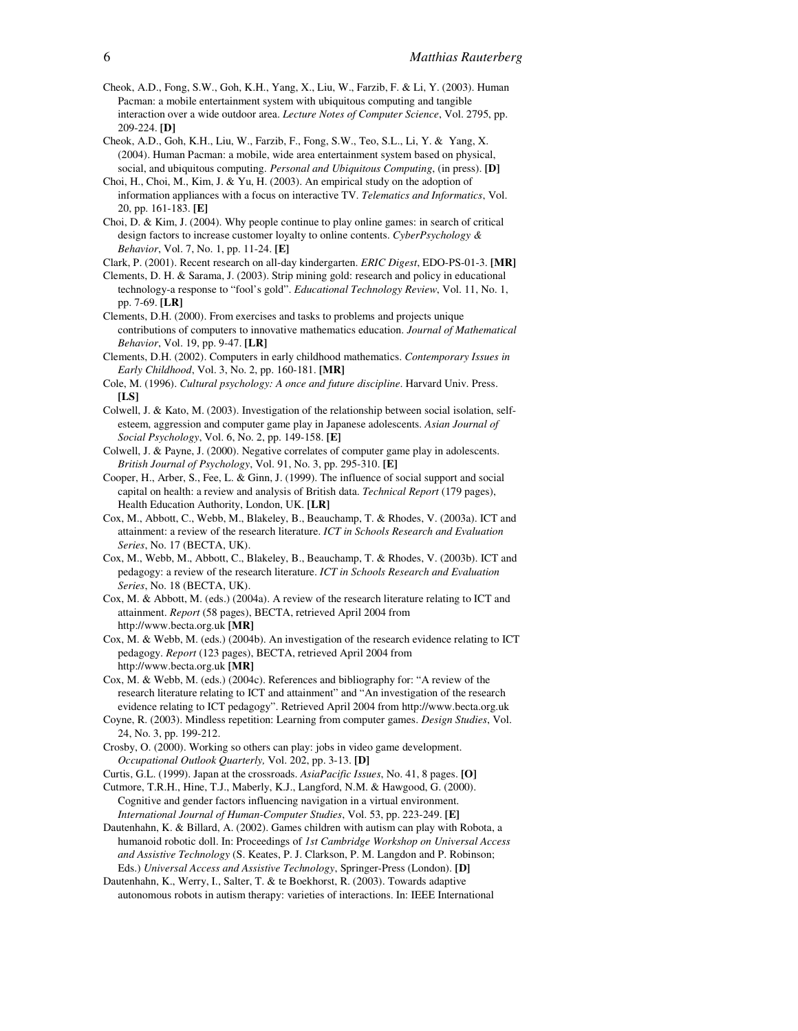- Cheok, A.D., Fong, S.W., Goh, K.H., Yang, X., Liu, W., Farzib, F. & Li, Y. (2003). Human Pacman: a mobile entertainment system with ubiquitous computing and tangible interaction over a wide outdoor area. *Lecture Notes of Computer Science*, Vol. 2795, pp. 209-224. **[D]**
- Cheok, A.D., Goh, K.H., Liu, W., Farzib, F., Fong, S.W., Teo, S.L., Li, Y. & Yang, X. (2004). Human Pacman: a mobile, wide area entertainment system based on physical, social, and ubiquitous computing. *Personal and Ubiquitous Computing*, (in press). **[D]**
- Choi, H., Choi, M., Kim, J. & Yu, H. (2003). An empirical study on the adoption of information appliances with a focus on interactive TV. *Telematics and Informatics*, Vol. 20, pp. 161-183. **[E]**
- Choi, D. & Kim, J. (2004). Why people continue to play online games: in search of critical design factors to increase customer loyalty to online contents. *CyberPsychology & Behavior*, Vol. 7, No. 1, pp. 11-24. **[E]**

Clark, P. (2001). Recent research on all-day kindergarten. *ERIC Digest*, EDO-PS-01-3. **[MR]**

- Clements, D. H. & Sarama, J. (2003). Strip mining gold: research and policy in educational technology-a response to "fool's gold". *Educational Technology Review*, Vol. 11, No. 1, pp. 7-69. **[LR]**
- Clements, D.H. (2000). From exercises and tasks to problems and projects unique contributions of computers to innovative mathematics education. *Journal of Mathematical Behavior*, Vol. 19, pp. 9-47. **[LR]**
- Clements, D.H. (2002). Computers in early childhood mathematics. *Contemporary Issues in Early Childhood*, Vol. 3, No. 2, pp. 160-181. **[MR]**
- Cole, M. (1996). *Cultural psychology: A once and future discipline*. Harvard Univ. Press. **[LS]**
- Colwell, J. & Kato, M. (2003). Investigation of the relationship between social isolation, selfesteem, aggression and computer game play in Japanese adolescents*. Asian Journal of Social Psychology*, Vol. 6, No. 2, pp. 149-158. **[E]**
- Colwell, J. & Payne, J. (2000). Negative correlates of computer game play in adolescents. *British Journal of Psychology*, Vol. 91, No. 3, pp. 295-310. **[E]**
- Cooper, H., Arber, S., Fee, L. & Ginn, J. (1999). The influence of social support and social capital on health: a review and analysis of British data. *Technical Report* (179 pages), Health Education Authority, London, UK. **[LR]**
- Cox, M., Abbott, C., Webb, M., Blakeley, B., Beauchamp, T. & Rhodes, V. (2003a). ICT and attainment: a review of the research literature. *ICT in Schools Research and Evaluation Series*, No. 17 (BECTA, UK).
- Cox, M., Webb, M., Abbott, C., Blakeley, B., Beauchamp, T. & Rhodes, V. (2003b). ICT and pedagogy: a review of the research literature. *ICT in Schools Research and Evaluation Series*, No. 18 (BECTA, UK).
- Cox, M. & Abbott, M. (eds.) (2004a). A review of the research literature relating to ICT and attainment. *Report* (58 pages), BECTA, retrieved April 2004 from http://www.becta.org.uk **[MR]**
- Cox, M. & Webb, M. (eds.) (2004b). An investigation of the research evidence relating to ICT pedagogy. *Report* (123 pages), BECTA, retrieved April 2004 from http://www.becta.org.uk **[MR]**
- Cox, M. & Webb, M. (eds.) (2004c). References and bibliography for: "A review of the research literature relating to ICT and attainment" and "An investigation of the research evidence relating to ICT pedagogy". Retrieved April 2004 from http://www.becta.org.uk
- Coyne, R. (2003). Mindless repetition: Learning from computer games. *Design Studies*, Vol. 24, No. 3, pp. 199-212.
- Crosby, O. (2000). Working so others can play: jobs in video game development. *Occupational Outlook Quarterly,* Vol. 202, pp. 3-13. **[D]**
- Curtis, G.L. (1999). Japan at the crossroads. *AsiaPacific Issues*, No. 41, 8 pages. **[O]**
- Cutmore, T.R.H., Hine, T.J., Maberly, K.J., Langford, N.M. & Hawgood, G. (2000). Cognitive and gender factors influencing navigation in a virtual environment. *International Journal of Human-Computer Studies*, Vol. 53, pp. 223-249. **[E]**
- Dautenhahn, K. & Billard, A. (2002). Games children with autism can play with Robota, a humanoid robotic doll. In: Proceedings of *1st Cambridge Workshop on Universal Access and Assistive Technology* (S. Keates, P. J. Clarkson, P. M. Langdon and P. Robinson; Eds.) *Universal Access and Assistive Technology*, Springer-Press (London). **[D]**
- Dautenhahn, K., Werry, I., Salter, T. & te Boekhorst, R. (2003). Towards adaptive autonomous robots in autism therapy: varieties of interactions. In: IEEE International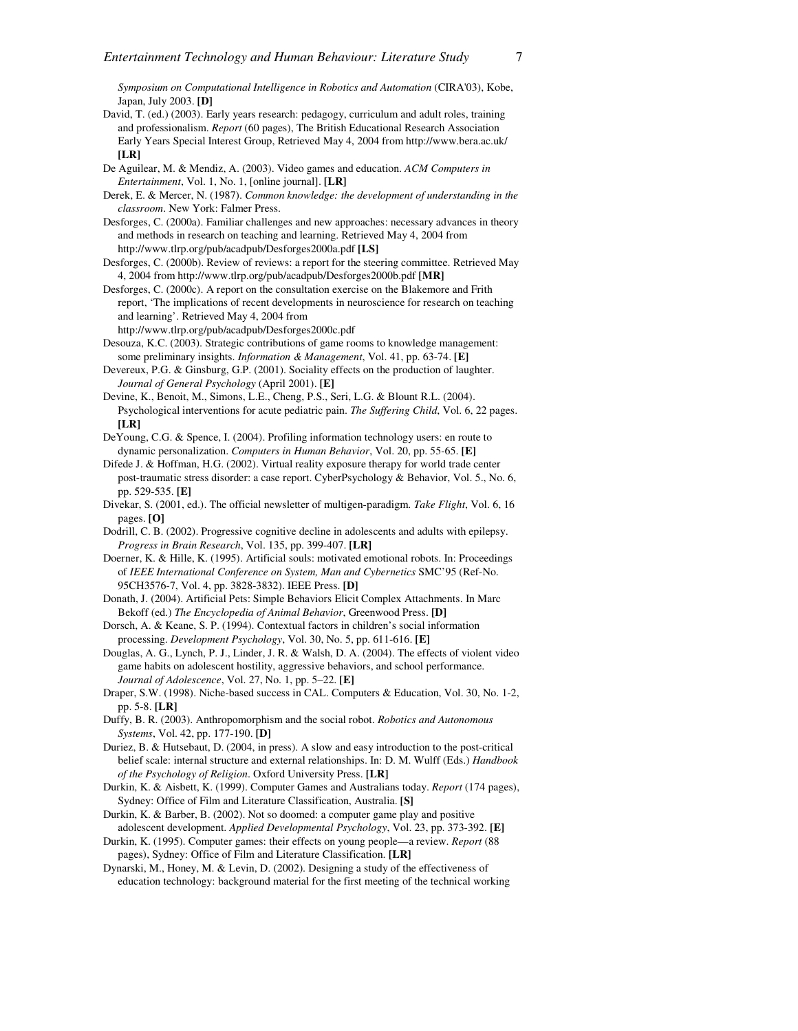*Symposium on Computational Intelligence in Robotics and Automation* (CIRA'03), Kobe, Japan, July 2003. **[D]**

- David, T. (ed.) (2003). Early years research: pedagogy, curriculum and adult roles, training and professionalism. *Report* (60 pages), The British Educational Research Association Early Years Special Interest Group, Retrieved May 4, 2004 from http://www.bera.ac.uk/ **[LR]**
- De Aguilear, M. & Mendiz, A. (2003). Video games and education. *ACM Computers in Entertainment*, Vol. 1, No. 1, [online journal]. **[LR]**
- Derek, E. & Mercer, N. (1987). *Common knowledge: the development of understanding in the classroom*. New York: Falmer Press.
- Desforges, C. (2000a). Familiar challenges and new approaches: necessary advances in theory and methods in research on teaching and learning. Retrieved May 4, 2004 from http://www.tlrp.org/pub/acadpub/Desforges2000a.pdf **[LS]**
- Desforges, C. (2000b). Review of reviews: a report for the steering committee. Retrieved May 4, 2004 from http://www.tlrp.org/pub/acadpub/Desforges2000b.pdf **[MR]**
- Desforges, C. (2000c). A report on the consultation exercise on the Blakemore and Frith report, 'The implications of recent developments in neuroscience for research on teaching and learning'. Retrieved May 4, 2004 from
- http://www.tlrp.org/pub/acadpub/Desforges2000c.pdf
- Desouza, K.C. (2003). Strategic contributions of game rooms to knowledge management: some preliminary insights. *Information & Management*, Vol. 41, pp. 63-74. **[E]**
- Devereux, P.G. & Ginsburg, G.P. (2001). Sociality effects on the production of laughter. *Journal of General Psychology* (April 2001). **[E]**
- Devine, K., Benoit, M., Simons, L.E., Cheng, P.S., Seri, L.G. & Blount R.L. (2004). Psychological interventions for acute pediatric pain. *The Suffering Child*, Vol. 6, 22 pages. **[LR]**
- DeYoung, C.G. & Spence, I. (2004). Profiling information technology users: en route to dynamic personalization. *Computers in Human Behavior*, Vol. 20, pp. 55-65. **[E]**
- Difede J. & Hoffman, H.G. (2002). Virtual reality exposure therapy for world trade center post-traumatic stress disorder: a case report. CyberPsychology & Behavior, Vol. 5., No. 6, pp. 529-535. **[E]**
- Divekar, S. (2001, ed.). The official newsletter of multigen-paradigm. *Take Flight*, Vol. 6, 16 pages. **[O]**
- Dodrill, C. B. (2002). Progressive cognitive decline in adolescents and adults with epilepsy. *Progress in Brain Research*, Vol. 135, pp. 399-407. **[LR]**
- Doerner, K. & Hille, K. (1995). Artificial souls: motivated emotional robots. In: Proceedings of *IEEE International Conference on System, Man and Cybernetics* SMC'95 (Ref-No. 95CH3576-7, Vol. 4, pp. 3828-3832). IEEE Press. **[D]**
- Donath, J. (2004). Artificial Pets: Simple Behaviors Elicit Complex Attachments. In Marc Bekoff (ed.) *The Encyclopedia of Animal Behavior*, Greenwood Press. **[D]**
- Dorsch, A. & Keane, S. P. (1994). Contextual factors in children's social information processing. *Development Psychology*, Vol. 30, No. 5, pp. 611-616. **[E]**
- Douglas, A. G., Lynch, P. J., Linder, J. R. & Walsh, D. A. (2004). The effects of violent video game habits on adolescent hostility, aggressive behaviors, and school performance. *Journal of Adolescence*, Vol. 27, No. 1, pp. 5–22. **[E]**
- Draper, S.W. (1998). Niche-based success in CAL. Computers & Education, Vol. 30, No. 1-2, pp. 5-8. **[LR]**
- Duffy, B. R. (2003). Anthropomorphism and the social robot. *Robotics and Autonomous Systems*, Vol. 42, pp. 177-190. **[D]**
- Duriez, B. & Hutsebaut, D. (2004, in press). A slow and easy introduction to the post-critical belief scale: internal structure and external relationships. In: D. M. Wulff (Eds.) *Handbook of the Psychology of Religion*. Oxford University Press. **[LR]**
- Durkin, K. & Aisbett, K. (1999). Computer Games and Australians today. *Report* (174 pages), Sydney: Office of Film and Literature Classification, Australia. **[S]**
- Durkin, K. & Barber, B. (2002). Not so doomed: a computer game play and positive adolescent development. *Applied Developmental Psychology*, Vol. 23, pp. 373-392. **[E]**
- Durkin, K. (1995). Computer games: their effects on young people—a review. *Report* (88 pages), Sydney: Office of Film and Literature Classification. **[LR]**
- Dynarski, M., Honey, M. & Levin, D. (2002). Designing a study of the effectiveness of education technology: background material for the first meeting of the technical working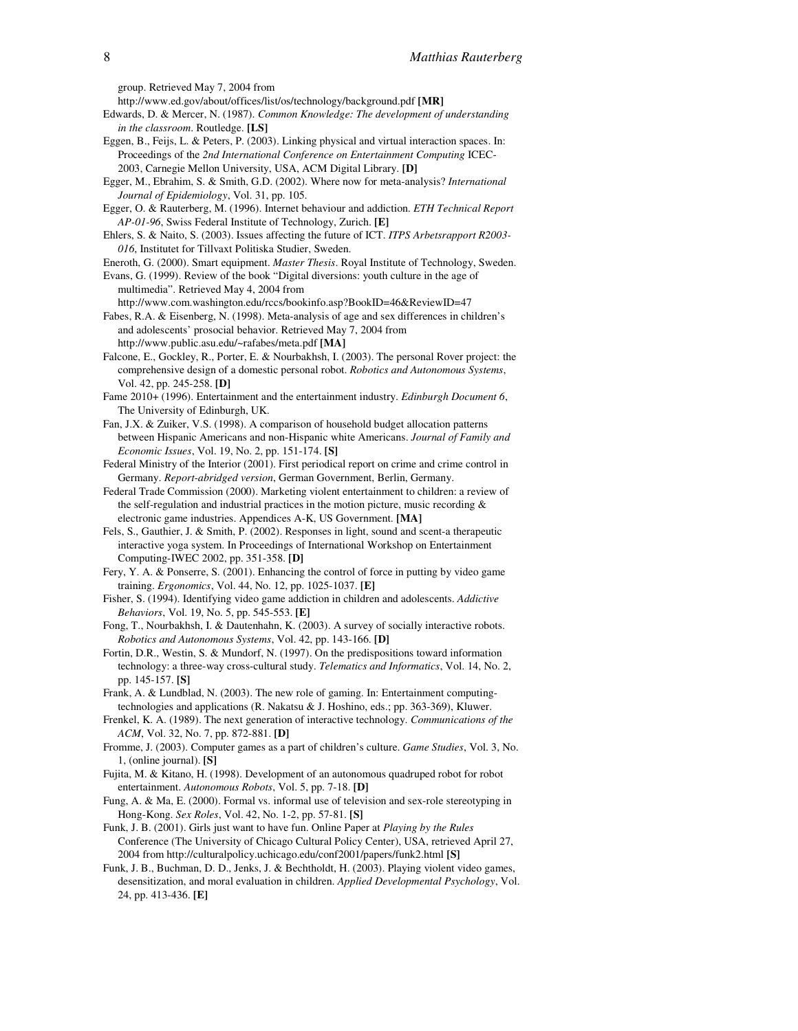group. Retrieved May 7, 2004 from

- http://www.ed.gov/about/offices/list/os/technology/background.pdf **[MR]**
- Edwards, D. & Mercer, N. (1987). *Common Knowledge: The development of understanding in the classroom*. Routledge. **[LS]**
- Eggen, B., Feijs, L. & Peters, P. (2003). Linking physical and virtual interaction spaces. In: Proceedings of the *2nd International Conference on Entertainment Computing* ICEC-2003, Carnegie Mellon University, USA, ACM Digital Library. **[D]**
- Egger, M., Ebrahim, S. & Smith, G.D. (2002). Where now for meta-analysis? *International Journal of Epidemiology*, Vol. 31, pp. 105.
- Egger, O. & Rauterberg, M. (1996). Internet behaviour and addiction. *ETH Technical Report AP-01-96*, Swiss Federal Institute of Technology, Zurich. **[E]**
- Ehlers, S. & Naito, S. (2003). Issues affecting the future of ICT. *ITPS Arbetsrapport R2003- 016*, Institutet for Tillvaxt Politiska Studier, Sweden.
- Eneroth, G. (2000). Smart equipment. *Master Thesis*. Royal Institute of Technology, Sweden.
- Evans, G. (1999). Review of the book "Digital diversions: youth culture in the age of multimedia". Retrieved May 4, 2004 from
- http://www.com.washington.edu/rccs/bookinfo.asp?BookID=46&ReviewID=47 Fabes, R.A. & Eisenberg, N. (1998). Meta-analysis of age and sex differences in children's and adolescents' prosocial behavior. Retrieved May 7, 2004 from
- http://www.public.asu.edu/~rafabes/meta.pdf **[MA]**
- Falcone, E., Gockley, R., Porter, E. & Nourbakhsh, I. (2003). The personal Rover project: the comprehensive design of a domestic personal robot. *Robotics and Autonomous Systems*, Vol. 42, pp. 245-258. **[D]**
- Fame 2010+ (1996). Entertainment and the entertainment industry. *Edinburgh Document 6*, The University of Edinburgh, UK.
- Fan, J.X. & Zuiker, V.S. (1998). A comparison of household budget allocation patterns between Hispanic Americans and non-Hispanic white Americans. *Journal of Family and Economic Issues*, Vol. 19, No. 2, pp. 151-174. **[S]**
- Federal Ministry of the Interior (2001). First periodical report on crime and crime control in Germany. *Report-abridged version*, German Government, Berlin, Germany.
- Federal Trade Commission (2000). Marketing violent entertainment to children: a review of the self-regulation and industrial practices in the motion picture, music recording & electronic game industries. Appendices A-K, US Government. **[MA]**
- Fels, S., Gauthier, J. & Smith, P. (2002). Responses in light, sound and scent-a therapeutic interactive yoga system. In Proceedings of International Workshop on Entertainment Computing-IWEC 2002, pp. 351-358. **[D]**
- Fery, Y. A. & Ponserre, S. (2001). Enhancing the control of force in putting by video game training. *Ergonomics*, Vol. 44, No. 12, pp. 1025-1037. **[E]**
- Fisher, S. (1994). Identifying video game addiction in children and adolescents. *Addictive Behaviors*, Vol. 19, No. 5, pp. 545-553. **[E]**
- Fong, T., Nourbakhsh, I. & Dautenhahn, K. (2003). A survey of socially interactive robots. *Robotics and Autonomous Systems*, Vol. 42, pp. 143-166. **[D]**
- Fortin, D.R., Westin, S. & Mundorf, N. (1997). On the predispositions toward information technology: a three-way cross-cultural study. *Telematics and Informatics*, Vol. 14, No. 2, pp. 145-157. **[S]**
- Frank, A. & Lundblad, N. (2003). The new role of gaming. In: Entertainment computingtechnologies and applications (R. Nakatsu & J. Hoshino, eds.; pp. 363-369), Kluwer.
- Frenkel, K. A. (1989). The next generation of interactive technology. *Communications of the ACM*, Vol. 32, No. 7, pp. 872-881. **[D]**
- Fromme, J. (2003). Computer games as a part of children's culture. *Game Studies*, Vol. 3, No. 1, (online journal). **[S]**
- Fujita, M. & Kitano, H. (1998). Development of an autonomous quadruped robot for robot entertainment. *Autonomous Robots*, Vol. 5, pp. 7-18. **[D]**
- Fung, A. & Ma, E. (2000). Formal vs. informal use of television and sex-role stereotyping in Hong-Kong. *Sex Roles*, Vol. 42, No. 1-2, pp. 57-81. **[S]**
- Funk, J. B. (2001). Girls just want to have fun. Online Paper at *Playing by the Rules* Conference (The University of Chicago Cultural Policy Center), USA, retrieved April 27, 2004 from http://culturalpolicy.uchicago.edu/conf2001/papers/funk2.html **[S]**
- Funk, J. B., Buchman, D. D., Jenks, J. & Bechtholdt, H. (2003). Playing violent video games, desensitization, and moral evaluation in children. *Applied Developmental Psychology*, Vol. 24, pp. 413-436. **[E]**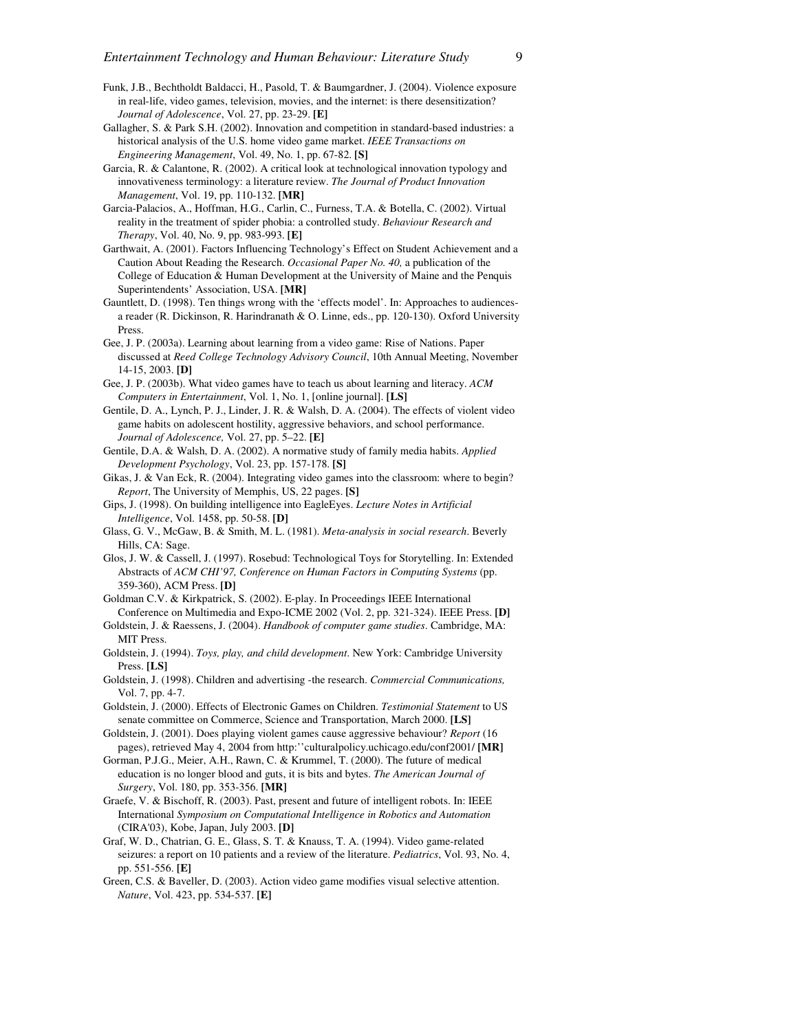- Funk, J.B., Bechtholdt Baldacci, H., Pasold, T. & Baumgardner, J. (2004). Violence exposure in real-life, video games, television, movies, and the internet: is there desensitization? *Journal of Adolescence*, Vol. 27, pp. 23-29. **[E]**
- Gallagher, S. & Park S.H. (2002). Innovation and competition in standard-based industries: a historical analysis of the U.S. home video game market. *IEEE Transactions on Engineering Management*, Vol. 49, No. 1, pp. 67-82. **[S]**
- Garcia, R. & Calantone, R. (2002). A critical look at technological innovation typology and innovativeness terminology: a literature review. *The Journal of Product Innovation Management*, Vol. 19, pp. 110-132. **[MR]**
- Garcia-Palacios, A., Hoffman, H.G., Carlin, C., Furness, T.A. & Botella, C. (2002). Virtual reality in the treatment of spider phobia: a controlled study. *Behaviour Research and Therapy*, Vol. 40, No. 9, pp. 983-993. **[E]**
- Garthwait, A. (2001). Factors Influencing Technology's Effect on Student Achievement and a Caution About Reading the Research. *Occasional Paper No. 40,* a publication of the College of Education & Human Development at the University of Maine and the Penquis Superintendents' Association, USA. **[MR]**
- Gauntlett, D. (1998). Ten things wrong with the 'effects model'. In: Approaches to audiencesa reader (R. Dickinson, R. Harindranath & O. Linne, eds., pp. 120-130). Oxford University Press.
- Gee, J. P. (2003a). Learning about learning from a video game: Rise of Nations. Paper discussed at *Reed College Technology Advisory Council*, 10th Annual Meeting, November 14-15, 2003. **[D]**
- Gee, J. P. (2003b). What video games have to teach us about learning and literacy. *ACM Computers in Entertainment*, Vol. 1, No. 1, [online journal]. **[LS]**
- Gentile, D. A., Lynch, P. J., Linder, J. R. & Walsh, D. A. (2004). The effects of violent video game habits on adolescent hostility, aggressive behaviors, and school performance. *Journal of Adolescence,* Vol. 27, pp. 5–22. **[E]**
- Gentile, D.A. & Walsh, D. A. (2002). A normative study of family media habits. *Applied Development Psychology*, Vol. 23, pp. 157-178. **[S]**
- Gikas, J. & Van Eck, R. (2004). Integrating video games into the classroom: where to begin? *Report*, The University of Memphis, US, 22 pages. **[S]**
- Gips, J. (1998). On building intelligence into EagleEyes. *Lecture Notes in Artificial Intelligence*, Vol. 1458, pp. 50-58. **[D]**
- Glass, G. V., McGaw, B. & Smith, M. L. (1981). *Meta-analysis in social research*. Beverly Hills, CA: Sage.
- Glos, J. W. & Cassell, J. (1997). Rosebud: Technological Toys for Storytelling. In: Extended Abstracts of *ACM CHI'97, Conference on Human Factors in Computing Systems* (pp. 359-360), ACM Press. **[D]**
- Goldman C.V. & Kirkpatrick, S. (2002). E-play. In Proceedings IEEE International Conference on Multimedia and Expo-ICME 2002 (Vol. 2, pp. 321-324). IEEE Press. **[D]**
- Goldstein, J. & Raessens, J. (2004). *Handbook of computer game studies*. Cambridge, MA: MIT Press.
- Goldstein, J. (1994). *Toys, play, and child development*. New York: Cambridge University Press. **[LS]**
- Goldstein, J. (1998). Children and advertising -the research. *Commercial Communications,*  Vol. 7, pp. 4-7.
- Goldstein, J. (2000). Effects of Electronic Games on Children. *Testimonial Statement* to US senate committee on Commerce, Science and Transportation, March 2000. **[LS]**
- Goldstein, J. (2001). Does playing violent games cause aggressive behaviour? *Report* (16 pages), retrieved May 4, 2004 from http:''culturalpolicy.uchicago.edu/conf2001/ **[MR]**
- Gorman, P.J.G., Meier, A.H., Rawn, C. & Krummel, T. (2000). The future of medical education is no longer blood and guts, it is bits and bytes. *The American Journal of Surgery*, Vol. 180, pp. 353-356. **[MR]**
- Graefe, V. & Bischoff, R. (2003). Past, present and future of intelligent robots. In: IEEE International *Symposium on Computational Intelligence in Robotics and Automation* (CIRA'03), Kobe, Japan, July 2003. **[D]**
- Graf, W. D., Chatrian, G. E., Glass, S. T. & Knauss, T. A. (1994). Video game-related seizures: a report on 10 patients and a review of the literature. *Pediatrics*, Vol. 93, No. 4, pp. 551-556. **[E]**
- Green, C.S. & Baveller, D. (2003). Action video game modifies visual selective attention. *Nature*, Vol. 423, pp. 534-537. **[E]**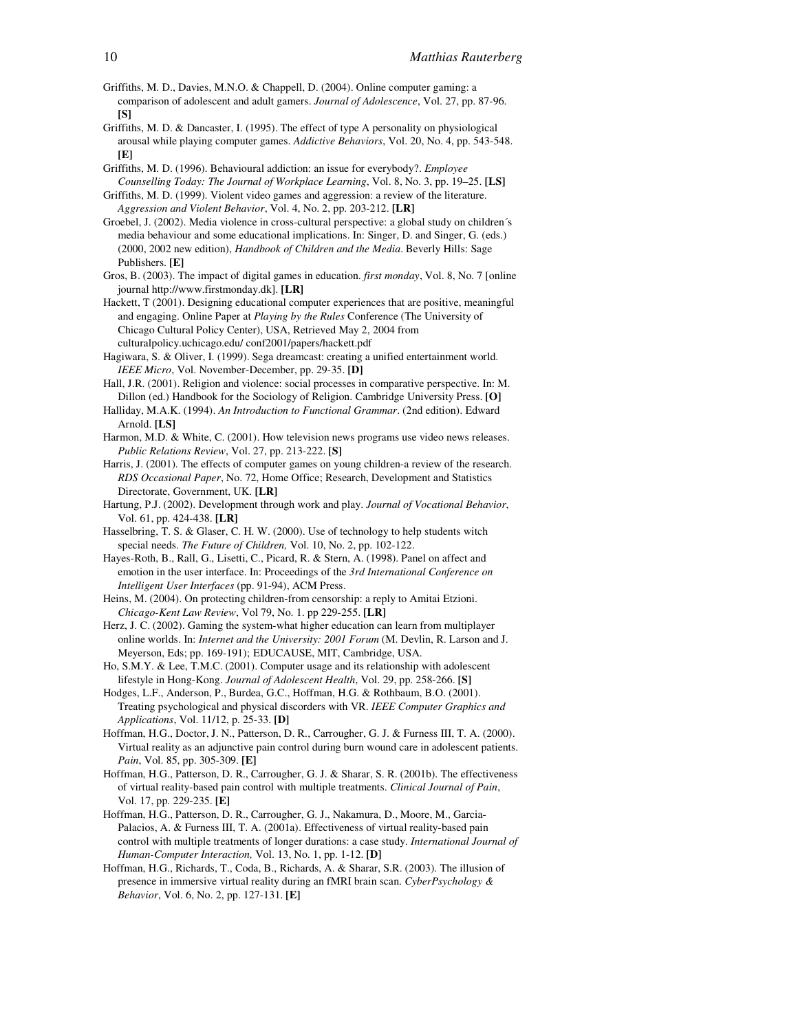- Griffiths, M. D., Davies, M.N.O. & Chappell, D. (2004). Online computer gaming: a comparison of adolescent and adult gamers. *Journal of Adolescence*, Vol. 27, pp. 87-96. **[S]**
- Griffiths, M. D. & Dancaster, I. (1995). The effect of type A personality on physiological arousal while playing computer games. *Addictive Behaviors*, Vol. 20, No. 4, pp. 543-548. **[E]**
- Griffiths, M. D. (1996). Behavioural addiction: an issue for everybody?. *Employee Counselling Today: The Journal of Workplace Learning*, Vol. 8, No. 3, pp. 19–25. **[LS]**
- Griffiths, M. D. (1999). Violent video games and aggression: a review of the literature. *Aggression and Violent Behavior*, Vol. 4, No. 2, pp. 203-212. **[LR]**
- Groebel, J. (2002). Media violence in cross-cultural perspective: a global study on children´s media behaviour and some educational implications. In: Singer, D. and Singer, G. (eds.) (2000, 2002 new edition), *Handbook of Children and the Media*. Beverly Hills: Sage Publishers. **[E]**
- Gros, B. (2003). The impact of digital games in education. *first monday*, Vol. 8, No. 7 [online journal http://www.firstmonday.dk]. **[LR]**
- Hackett, T (2001). Designing educational computer experiences that are positive, meaningful and engaging. Online Paper at *Playing by the Rules* Conference (The University of Chicago Cultural Policy Center), USA, Retrieved May 2, 2004 from culturalpolicy.uchicago.edu/ conf2001/papers/hackett.pdf
- Hagiwara, S. & Oliver, I. (1999). Sega dreamcast: creating a unified entertainment world. *IEEE Micro*, Vol. November-December, pp. 29-35. **[D]**
- Hall, J.R. (2001). Religion and violence: social processes in comparative perspective. In: M. Dillon (ed.) Handbook for the Sociology of Religion. Cambridge University Press. **[O]**
- Halliday, M.A.K. (1994). *An Introduction to Functional Grammar*. (2nd edition). Edward Arnold. **[LS]**
- Harmon, M.D. & White, C. (2001). How television news programs use video news releases. *Public Relations Review*, Vol. 27, pp. 213-222. **[S]**
- Harris, J. (2001). The effects of computer games on young children-a review of the research. *RDS Occasional Paper*, No. 72, Home Office; Research, Development and Statistics Directorate, Government, UK. **[LR]**
- Hartung, P.J. (2002). Development through work and play. *Journal of Vocational Behavior*, Vol. 61, pp. 424-438. **[LR]**
- Hasselbring, T. S. & Glaser, C. H. W. (2000). Use of technology to help students witch special needs. *The Future of Children,* Vol. 10, No. 2, pp. 102-122.
- Hayes-Roth, B., Rall, G., Lisetti, C., Picard, R. & Stern, A. (1998). Panel on affect and emotion in the user interface. In: Proceedings of the *3rd International Conference on Intelligent User Interfaces* (pp. 91-94), ACM Press.
- Heins, M. (2004). On protecting children-from censorship: a reply to Amitai Etzioni. *Chicago-Kent Law Review*, Vol 79, No. 1. pp 229-255. **[LR]**
- Herz, J. C. (2002). Gaming the system-what higher education can learn from multiplayer online worlds. In: *Internet and the University: 2001 Forum* (M. Devlin, R. Larson and J. Meyerson, Eds; pp. 169-191); EDUCAUSE, MIT, Cambridge, USA.
- Ho, S.M.Y. & Lee, T.M.C. (2001). Computer usage and its relationship with adolescent lifestyle in Hong-Kong. *Journal of Adolescent Health*, Vol. 29, pp. 258-266. **[S]**
- Hodges, L.F., Anderson, P., Burdea, G.C., Hoffman, H.G. & Rothbaum, B.O. (2001). Treating psychological and physical discorders with VR. *IEEE Computer Graphics and Applications*, Vol. 11/12, p. 25-33. **[D]**
- Hoffman, H.G., Doctor, J. N., Patterson, D. R., Carrougher, G. J. & Furness III, T. A. (2000). Virtual reality as an adjunctive pain control during burn wound care in adolescent patients. *Pain*, Vol. 85, pp. 305-309. **[E]**
- Hoffman, H.G., Patterson, D. R., Carrougher, G. J. & Sharar, S. R. (2001b). The effectiveness of virtual reality-based pain control with multiple treatments. *Clinical Journal of Pain*, Vol. 17, pp. 229-235. **[E]**
- Hoffman, H.G., Patterson, D. R., Carrougher, G. J., Nakamura, D., Moore, M., Garcia-Palacios, A. & Furness III, T. A. (2001a). Effectiveness of virtual reality-based pain control with multiple treatments of longer durations: a case study. *International Journal of Human-Computer Interaction,* Vol. 13, No. 1, pp. 1-12. **[D]**
- Hoffman, H.G., Richards, T., Coda, B., Richards, A. & Sharar, S.R. (2003). The illusion of presence in immersive virtual reality during an fMRI brain scan. *CyberPsychology & Behavior*, Vol. 6, No. 2, pp. 127-131. **[E]**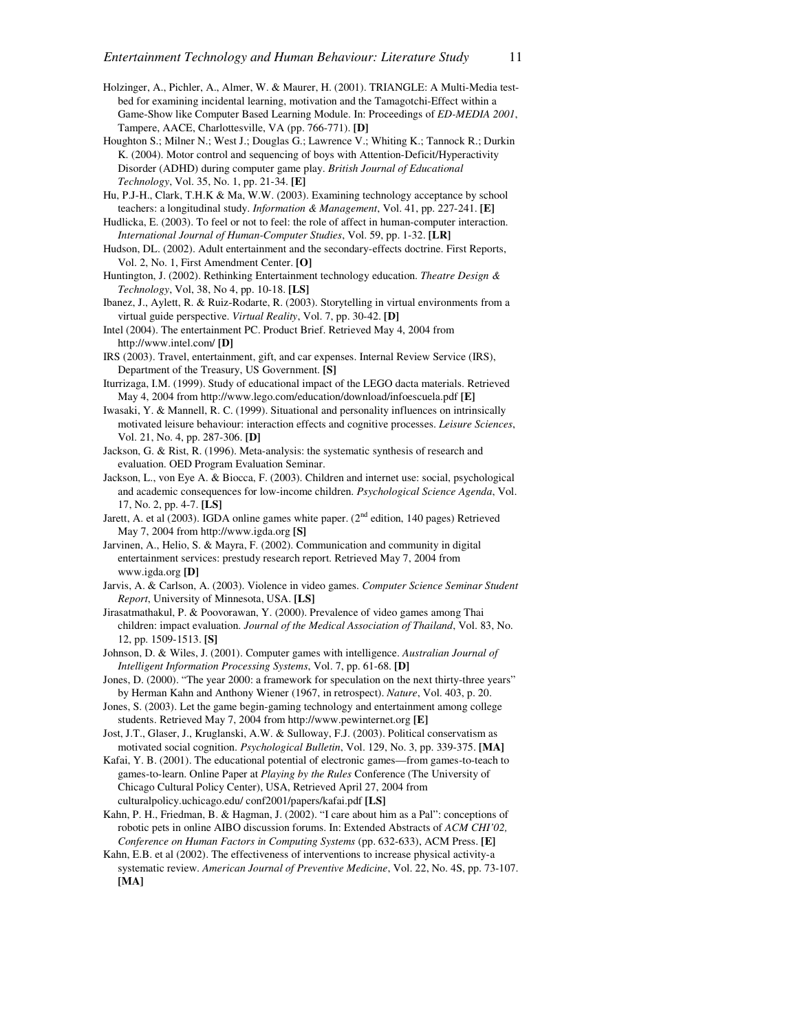- Holzinger, A., Pichler, A., Almer, W. & Maurer, H. (2001). TRIANGLE: A Multi-Media testbed for examining incidental learning, motivation and the Tamagotchi-Effect within a Game-Show like Computer Based Learning Module. In: Proceedings of *ED-MEDIA 2001*, Tampere, AACE, Charlottesville, VA (pp. 766-771). **[D]**
- Houghton S.; Milner N.; West J.; Douglas G.; Lawrence V.; Whiting K.; Tannock R.; Durkin K. (2004). Motor control and sequencing of boys with Attention-Deficit/Hyperactivity Disorder (ADHD) during computer game play. *British Journal of Educational Technology*, Vol. 35, No. 1, pp. 21-34. **[E]**
- Hu, P.J-H., Clark, T.H.K & Ma, W.W. (2003). Examining technology acceptance by school teachers: a longitudinal study. *Information & Management*, Vol. 41, pp. 227-241. **[E]**
- Hudlicka, E. (2003). To feel or not to feel: the role of affect in human-computer interaction. *International Journal of Human-Computer Studies*, Vol. 59, pp. 1-32. **[LR]**
- Hudson, DL. (2002). Adult entertainment and the secondary-effects doctrine. First Reports, Vol. 2, No. 1, First Amendment Center. **[O]**
- Huntington, J. (2002). Rethinking Entertainment technology education. *Theatre Design & Technology*, Vol, 38, No 4, pp. 10-18. **[LS]**
- Ibanez, J., Aylett, R. & Ruiz-Rodarte, R. (2003). Storytelling in virtual environments from a virtual guide perspective. *Virtual Reality*, Vol. 7, pp. 30-42. **[D]**
- Intel (2004). The entertainment PC. Product Brief. Retrieved May 4, 2004 from http://www.intel.com/ **[D]**
- IRS (2003). Travel, entertainment, gift, and car expenses. Internal Review Service (IRS), Department of the Treasury, US Government. **[S]**
- Iturrizaga, I.M. (1999). Study of educational impact of the LEGO dacta materials. Retrieved May 4, 2004 from http://www.lego.com/education/download/infoescuela.pdf **[E]**
- Iwasaki, Y. & Mannell, R. C. (1999). Situational and personality influences on intrinsically motivated leisure behaviour: interaction effects and cognitive processes. *Leisure Sciences*, Vol. 21, No. 4, pp. 287-306. **[D]**
- Jackson, G. & Rist, R. (1996). Meta-analysis: the systematic synthesis of research and evaluation. OED Program Evaluation Seminar.
- Jackson, L., von Eye A. & Biocca, F. (2003). Children and internet use: social, psychological and academic consequences for low-income children. *Psychological Science Agenda*, Vol. 17, No. 2, pp. 4-7. **[LS]**
- Jarett, A. et al (2003). IGDA online games white paper. ( $2<sup>nd</sup>$  edition, 140 pages) Retrieved May 7, 2004 from http://www.igda.org **[S]**
- Jarvinen, A., Helio, S. & Mayra, F. (2002). Communication and community in digital entertainment services: prestudy research report. Retrieved May 7, 2004 from www.igda.org **[D]**
- Jarvis, A. & Carlson, A. (2003). Violence in video games. *Computer Science Seminar Student Report*, University of Minnesota, USA. **[LS]**
- Jirasatmathakul, P. & Poovorawan, Y. (2000). Prevalence of video games among Thai children: impact evaluation. *Journal of the Medical Association of Thailand*, Vol. 83, No. 12, pp. 1509-1513. **[S]**
- Johnson, D. & Wiles, J. (2001). Computer games with intelligence. *Australian Journal of Intelligent Information Processing Systems*, Vol. 7, pp. 61-68. **[D]**
- Jones, D. (2000). "The year 2000: a framework for speculation on the next thirty-three years" by Herman Kahn and Anthony Wiener (1967, in retrospect). *Nature*, Vol. 403, p. 20.
- Jones, S. (2003). Let the game begin-gaming technology and entertainment among college students. Retrieved May 7, 2004 from http://www.pewinternet.org **[E]**
- Jost, J.T., Glaser, J., Kruglanski, A.W. & Sulloway, F.J. (2003). Political conservatism as motivated social cognition. *Psychological Bulletin*, Vol. 129, No. 3, pp. 339-375. **[MA]**
- Kafai, Y. B. (2001). The educational potential of electronic games—from games-to-teach to games-to-learn. Online Paper at *Playing by the Rules* Conference (The University of Chicago Cultural Policy Center), USA, Retrieved April 27, 2004 from culturalpolicy.uchicago.edu/ conf2001/papers/kafai.pdf **[LS]**
- Kahn, P. H., Friedman, B. & Hagman, J. (2002). "I care about him as a Pal": conceptions of robotic pets in online AIBO discussion forums. In: Extended Abstracts of *ACM CHI'02, Conference on Human Factors in Computing Systems* (pp. 632-633), ACM Press. **[E]**
- Kahn, E.B. et al (2002). The effectiveness of interventions to increase physical activity-a systematic review. *American Journal of Preventive Medicine*, Vol. 22, No. 4S, pp. 73-107. **[MA]**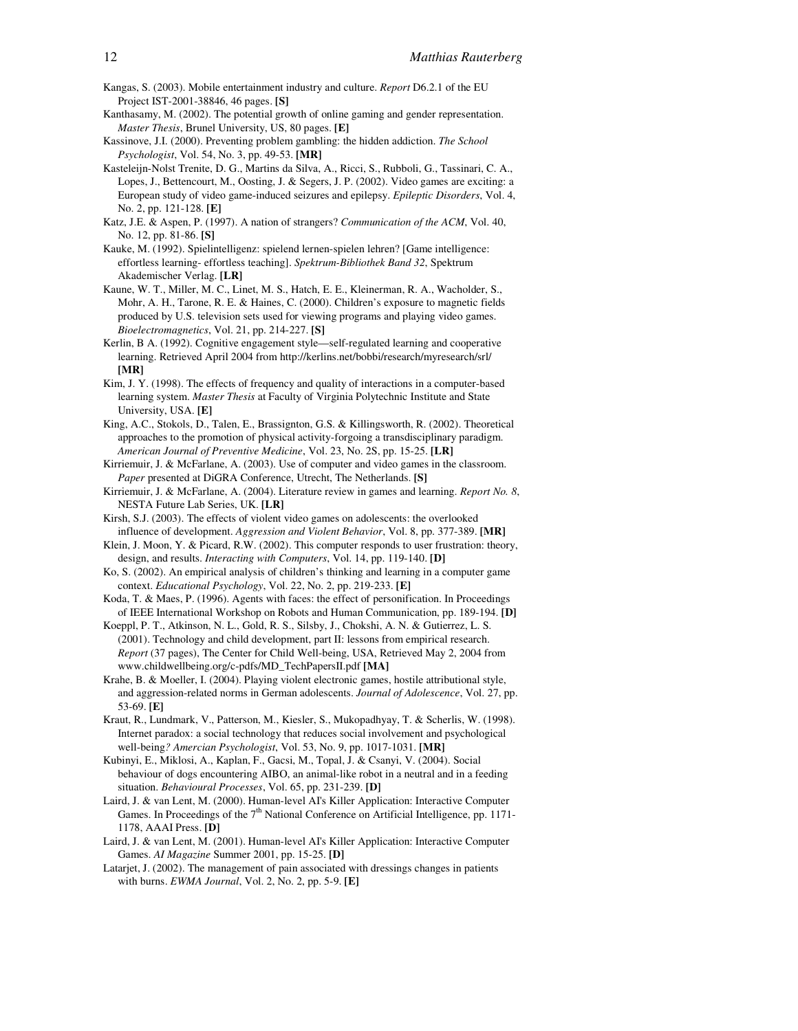- Kangas, S. (2003). Mobile entertainment industry and culture. *Report* D6.2.1 of the EU Project IST-2001-38846, 46 pages. **[S]**
- Kanthasamy, M. (2002). The potential growth of online gaming and gender representation. *Master Thesis*, Brunel University, US, 80 pages. **[E]**
- Kassinove, J.I. (2000). Preventing problem gambling: the hidden addiction. *The School Psychologist*, Vol. 54, No. 3, pp. 49-53. **[MR]**
- Kasteleijn-Nolst Trenite, D. G., Martins da Silva, A., Ricci, S., Rubboli, G., Tassinari, C. A., Lopes, J., Bettencourt, M., Oosting, J. & Segers, J. P. (2002). Video games are exciting: a European study of video game-induced seizures and epilepsy. *Epileptic Disorders*, Vol. 4, No. 2, pp. 121-128. **[E]**
- Katz, J.E. & Aspen, P. (1997). A nation of strangers? *Communication of the ACM*, Vol. 40, No. 12, pp. 81-86. **[S]**
- Kauke, M. (1992). Spielintelligenz: spielend lernen-spielen lehren? [Game intelligence: effortless learning- effortless teaching]. *Spektrum-Bibliothek Band 32*, Spektrum Akademischer Verlag. **[LR]**
- Kaune, W. T., Miller, M. C., Linet, M. S., Hatch, E. E., Kleinerman, R. A., Wacholder, S., Mohr, A. H., Tarone, R. E. & Haines, C. (2000). Children's exposure to magnetic fields produced by U.S. television sets used for viewing programs and playing video games. *Bioelectromagnetics*, Vol. 21, pp. 214-227. **[S]**
- Kerlin, B A. (1992). Cognitive engagement style—self-regulated learning and cooperative learning. Retrieved April 2004 from http://kerlins.net/bobbi/research/myresearch/srl/ **[MR]**
- Kim, J. Y. (1998). The effects of frequency and quality of interactions in a computer-based learning system. *Master Thesis* at Faculty of Virginia Polytechnic Institute and State University, USA. **[E]**
- King, A.C., Stokols, D., Talen, E., Brassignton, G.S. & Killingsworth, R. (2002). Theoretical approaches to the promotion of physical activity-forgoing a transdisciplinary paradigm. *American Journal of Preventive Medicine*, Vol. 23, No. 2S, pp. 15-25. **[LR]**
- Kirriemuir, J. & McFarlane, A. (2003). Use of computer and video games in the classroom. *Paper* presented at DiGRA Conference, Utrecht, The Netherlands. **[S]**
- Kirriemuir, J. & McFarlane, A. (2004). Literature review in games and learning. *Report No. 8*, NESTA Future Lab Series, UK. **[LR]**
- Kirsh, S.J. (2003). The effects of violent video games on adolescents: the overlooked influence of development. *Aggression and Violent Behavior*, Vol. 8, pp. 377-389. **[MR]**
- Klein, J. Moon, Y. & Picard, R.W. (2002). This computer responds to user frustration: theory, design, and results. *Interacting with Computers*, Vol. 14, pp. 119-140. **[D]**
- Ko, S. (2002). An empirical analysis of children's thinking and learning in a computer game context. *Educational Psychology*, Vol. 22, No. 2, pp. 219-233. **[E]**
- Koda, T. & Maes, P. (1996). Agents with faces: the effect of personification. In Proceedings of IEEE International Workshop on Robots and Human Communication, pp. 189-194. **[D]**
- Koeppl, P. T., Atkinson, N. L., Gold, R. S., Silsby, J., Chokshi, A. N. & Gutierrez, L. S. (2001). Technology and child development, part II: lessons from empirical research. *Report* (37 pages), The Center for Child Well-being, USA, Retrieved May 2, 2004 from www.childwellbeing.org/c-pdfs/MD\_TechPapersII.pdf **[MA]**
- Krahe, B. & Moeller, I. (2004). Playing violent electronic games, hostile attributional style, and aggression-related norms in German adolescents. *Journal of Adolescence*, Vol. 27, pp. 53-69. **[E]**
- Kraut, R., Lundmark, V., Patterson, M., Kiesler, S., Mukopadhyay, T. & Scherlis, W. (1998). Internet paradox: a social technology that reduces social involvement and psychological well-being*? Amercian Psychologist*, Vol. 53, No. 9, pp. 1017-1031. **[MR]**
- Kubinyi, E., Miklosi, A., Kaplan, F., Gacsi, M., Topal, J. & Csanyi, V. (2004). Social behaviour of dogs encountering AIBO, an animal-like robot in a neutral and in a feeding situation. *Behavioural Processes*, Vol. 65, pp. 231-239. **[D]**
- Laird, J. & van Lent, M. (2000). Human-level AI's Killer Application: Interactive Computer Games. In Proceedings of the  $7<sup>th</sup>$  National Conference on Artificial Intelligence, pp. 1171-1178, AAAI Press. **[D]**
- Laird, J. & van Lent, M. (2001). Human-level AI's Killer Application: Interactive Computer Games. *AI Magazine* Summer 2001, pp. 15-25. **[D]**
- Latarjet, J. (2002). The management of pain associated with dressings changes in patients with burns. *EWMA Journal*, Vol. 2, No. 2, pp. 5-9. **[E]**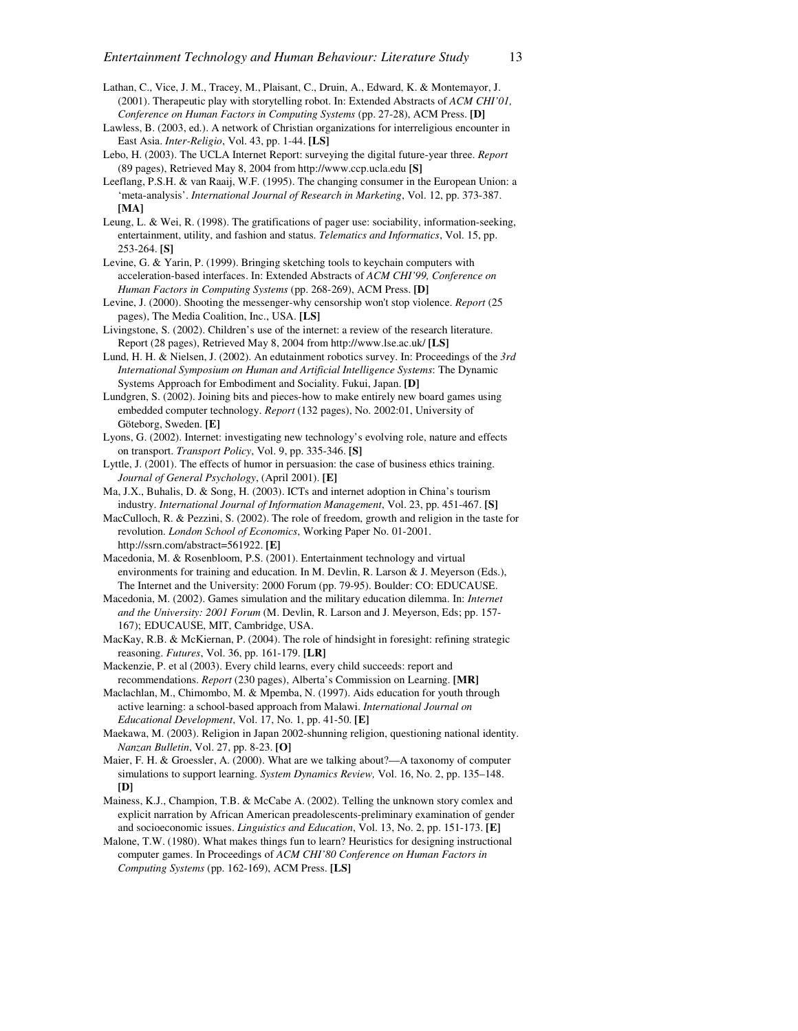- Lathan, C., Vice, J. M., Tracey, M., Plaisant, C., Druin, A., Edward, K. & Montemayor, J. (2001). Therapeutic play with storytelling robot. In: Extended Abstracts of *ACM CHI'01, Conference on Human Factors in Computing Systems* (pp. 27-28), ACM Press. **[D]**
- Lawless, B. (2003, ed.). A network of Christian organizations for interreligious encounter in East Asia. *Inter-Religio*, Vol. 43, pp. 1-44. **[LS]**
- Lebo, H. (2003). The UCLA Internet Report: surveying the digital future-year three. *Report* (89 pages), Retrieved May 8, 2004 from http://www.ccp.ucla.edu **[S]**
- Leeflang, P.S.H. & van Raaij, W.F. (1995). The changing consumer in the European Union: a 'meta-analysis'. *International Journal of Research in Marketing*, Vol. 12, pp. 373-387. **[MA]**
- Leung, L. & Wei, R. (1998). The gratifications of pager use: sociability, information-seeking, entertainment, utility, and fashion and status. *Telematics and Informatics*, Vol. 15, pp. 253-264. **[S]**
- Levine, G. & Yarin, P. (1999). Bringing sketching tools to keychain computers with acceleration-based interfaces. In: Extended Abstracts of *ACM CHI'99, Conference on Human Factors in Computing Systems* (pp. 268-269), ACM Press. **[D]**
- Levine, J. (2000). Shooting the messenger-why censorship won't stop violence. *Report* (25 pages), The Media Coalition, Inc., USA. **[LS]**
- Livingstone, S. (2002). Children's use of the internet: a review of the research literature. Report (28 pages), Retrieved May 8, 2004 from http://www.lse.ac.uk/ **[LS]**
- Lund, H. H. & Nielsen, J. (2002). An edutainment robotics survey. In: Proceedings of the *3rd International Symposium on Human and Artificial Intelligence Systems*: The Dynamic Systems Approach for Embodiment and Sociality. Fukui, Japan. **[D]**
- Lundgren, S. (2002). Joining bits and pieces-how to make entirely new board games using embedded computer technology. *Report* (132 pages), No. 2002:01, University of Göteborg, Sweden. **[E]**
- Lyons, G. (2002). Internet: investigating new technology's evolving role, nature and effects on transport. *Transport Policy*, Vol. 9, pp. 335-346. **[S]**
- Lyttle, J. (2001). The effects of humor in persuasion: the case of business ethics training. *Journal of General Psychology*, (April 2001). **[E]**
- Ma, J.X., Buhalis, D. & Song, H. (2003). ICTs and internet adoption in China's tourism industry. *International Journal of Information Management*, Vol. 23, pp. 451-467. **[S]**
- MacCulloch, R. & Pezzini, S. (2002). The role of freedom, growth and religion in the taste for revolution. *London School of Economics*, Working Paper No. 01-2001. http://ssrn.com/abstract=561922. **[E]**
- Macedonia, M. & Rosenbloom, P.S. (2001). Entertainment technology and virtual environments for training and education. In M. Devlin, R. Larson & J. Meyerson (Eds.), The Internet and the University: 2000 Forum (pp. 79-95). Boulder: CO: EDUCAUSE.
- Macedonia, M. (2002). Games simulation and the military education dilemma. In: *Internet and the University: 2001 Forum* (M. Devlin, R. Larson and J. Meyerson, Eds; pp. 157- 167); EDUCAUSE, MIT, Cambridge, USA.
- MacKay, R.B. & McKiernan, P. (2004). The role of hindsight in foresight: refining strategic reasoning. *Futures*, Vol. 36, pp. 161-179. **[LR]**
- Mackenzie, P. et al (2003). Every child learns, every child succeeds: report and recommendations. *Report* (230 pages), Alberta's Commission on Learning. **[MR]**
- Maclachlan, M., Chimombo, M. & Mpemba, N. (1997). Aids education for youth through active learning: a school-based approach from Malawi. *International Journal on Educational Development*, Vol. 17, No. 1, pp. 41-50. **[E]**
- Maekawa, M. (2003). Religion in Japan 2002-shunning religion, questioning national identity. *Nanzan Bulletin*, Vol. 27, pp. 8-23. **[O]**
- Maier, F. H. & Groessler, A. (2000). What are we talking about?—A taxonomy of computer simulations to support learning. *System Dynamics Review,* Vol. 16, No. 2, pp. 135–148. **[D]**
- Mainess, K.J., Champion, T.B. & McCabe A. (2002). Telling the unknown story comlex and explicit narration by African American preadolescents-preliminary examination of gender and socioeconomic issues. *Linguistics and Education*, Vol. 13, No. 2, pp. 151-173. **[E]**
- Malone, T.W. (1980). What makes things fun to learn? Heuristics for designing instructional computer games. In Proceedings of *ACM CHI'80 Conference on Human Factors in Computing Systems* (pp. 162-169), ACM Press. **[LS]**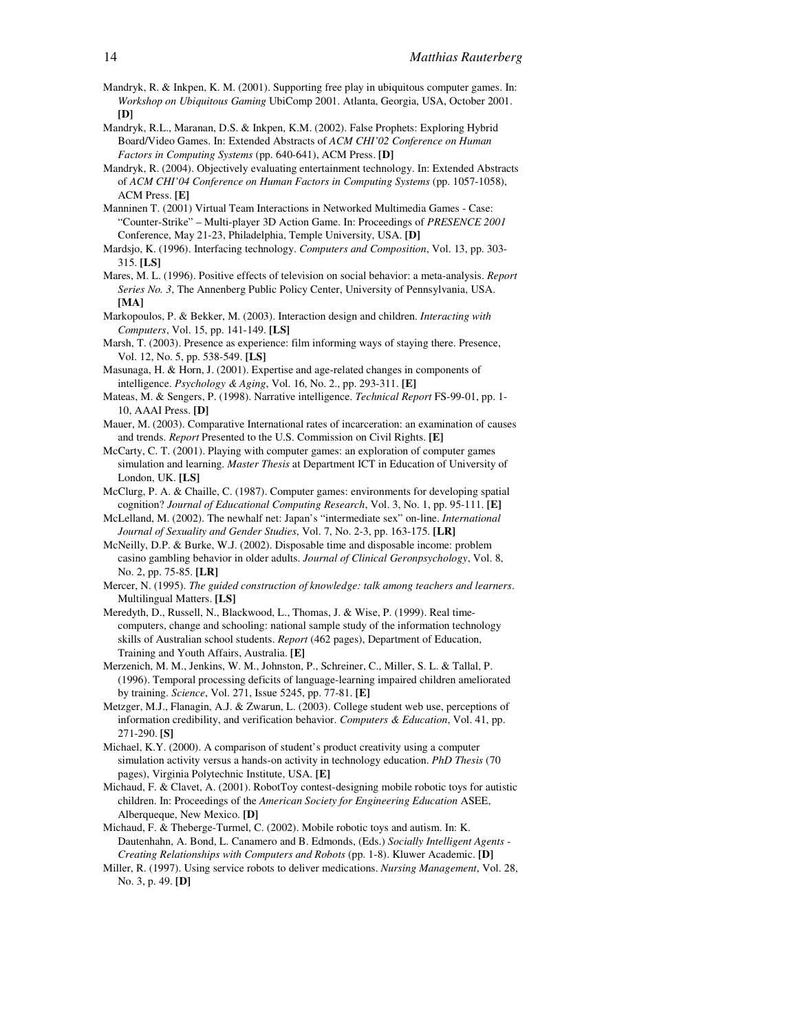- Mandryk, R. & Inkpen, K. M. (2001). Supporting free play in ubiquitous computer games. In: *Workshop on Ubiquitous Gaming* UbiComp 2001. Atlanta, Georgia, USA, October 2001. **[D]**
- Mandryk, R.L., Maranan, D.S. & Inkpen, K.M. (2002). False Prophets: Exploring Hybrid Board/Video Games. In: Extended Abstracts of *ACM CHI'02 Conference on Human Factors in Computing Systems* (pp. 640-641), ACM Press. **[D]**
- Mandryk, R. (2004). Objectively evaluating entertainment technology. In: Extended Abstracts of *ACM CHI'04 Conference on Human Factors in Computing Systems* (pp. 1057-1058), ACM Press. **[E]**
- Manninen T. (2001) Virtual Team Interactions in Networked Multimedia Games Case: "Counter-Strike" – Multi-player 3D Action Game. In: Proceedings of *PRESENCE 2001* Conference, May 21-23, Philadelphia, Temple University, USA. **[D]**
- Mardsjo, K. (1996). Interfacing technology. *Computers and Composition*, Vol. 13, pp. 303- 315. **[LS]**
- Mares, M. L. (1996). Positive effects of television on social behavior: a meta-analysis. *Report Series No. 3*, The Annenberg Public Policy Center, University of Pennsylvania, USA. **[MA]**
- Markopoulos, P. & Bekker, M. (2003). Interaction design and children. *Interacting with Computers*, Vol. 15, pp. 141-149. **[LS]**
- Marsh, T. (2003). Presence as experience: film informing ways of staying there. Presence, Vol. 12, No. 5, pp. 538-549. **[LS]**
- Masunaga, H. & Horn, J. (2001). Expertise and age-related changes in components of intelligence. *Psychology & Aging*, Vol. 16, No. 2., pp. 293-311. **[E]**
- Mateas, M. & Sengers, P. (1998). Narrative intelligence. *Technical Report* FS-99-01, pp. 1- 10, AAAI Press. **[D]**
- Mauer, M. (2003). Comparative International rates of incarceration: an examination of causes and trends. *Report* Presented to the U.S. Commission on Civil Rights. **[E]**
- McCarty, C. T. (2001). Playing with computer games: an exploration of computer games simulation and learning. *Master Thesis* at Department ICT in Education of University of London, UK. **[LS]**
- McClurg, P. A. & Chaille, C. (1987). Computer games: environments for developing spatial cognition? *Journal of Educational Computing Research*, Vol. 3, No. 1, pp. 95-111. **[E]**
- McLelland, M. (2002). The newhalf net: Japan's "intermediate sex" on-line. *International Journal of Sexuality and Gender Studies*, Vol. 7, No. 2-3, pp. 163-175. **[LR]**
- McNeilly, D.P. & Burke, W.J. (2002). Disposable time and disposable income: problem casino gambling behavior in older adults. *Journal of Clinical Geronpsychology*, Vol. 8, No. 2, pp. 75-85. **[LR]**
- Mercer, N. (1995). *The guided construction of knowledge: talk among teachers and learners*. Multilingual Matters. **[LS]**
- Meredyth, D., Russell, N., Blackwood, L., Thomas, J. & Wise, P. (1999). Real timecomputers, change and schooling: national sample study of the information technology skills of Australian school students. *Report* (462 pages), Department of Education, Training and Youth Affairs, Australia. **[E]**
- Merzenich, M. M., Jenkins, W. M., Johnston, P., Schreiner, C., Miller, S. L. & Tallal, P. (1996). Temporal processing deficits of language-learning impaired children ameliorated by training. *Science*, Vol. 271, Issue 5245, pp. 77-81. **[E]**
- Metzger, M.J., Flanagin, A.J. & Zwarun, L. (2003). College student web use, perceptions of information credibility, and verification behavior. *Computers & Education*, Vol. 41, pp. 271-290. **[S]**
- Michael, K.Y. (2000). A comparison of student's product creativity using a computer simulation activity versus a hands-on activity in technology education. *PhD Thesis* (70 pages), Virginia Polytechnic Institute, USA. **[E]**
- Michaud, F. & Clavet, A. (2001). RobotToy contest-designing mobile robotic toys for autistic children. In: Proceedings of the *American Society for Engineering Education* ASEE, Alberqueque, New Mexico. **[D]**
- Michaud, F. & Theberge-Turmel, C. (2002). Mobile robotic toys and autism. In: K. Dautenhahn, A. Bond, L. Canamero and B. Edmonds, (Eds.) *Socially Intelligent Agents - Creating Relationships with Computers and Robots* (pp. 1-8). Kluwer Academic. **[D]**
- Miller, R. (1997). Using service robots to deliver medications. *Nursing Management*, Vol. 28, No. 3, p. 49. **[D]**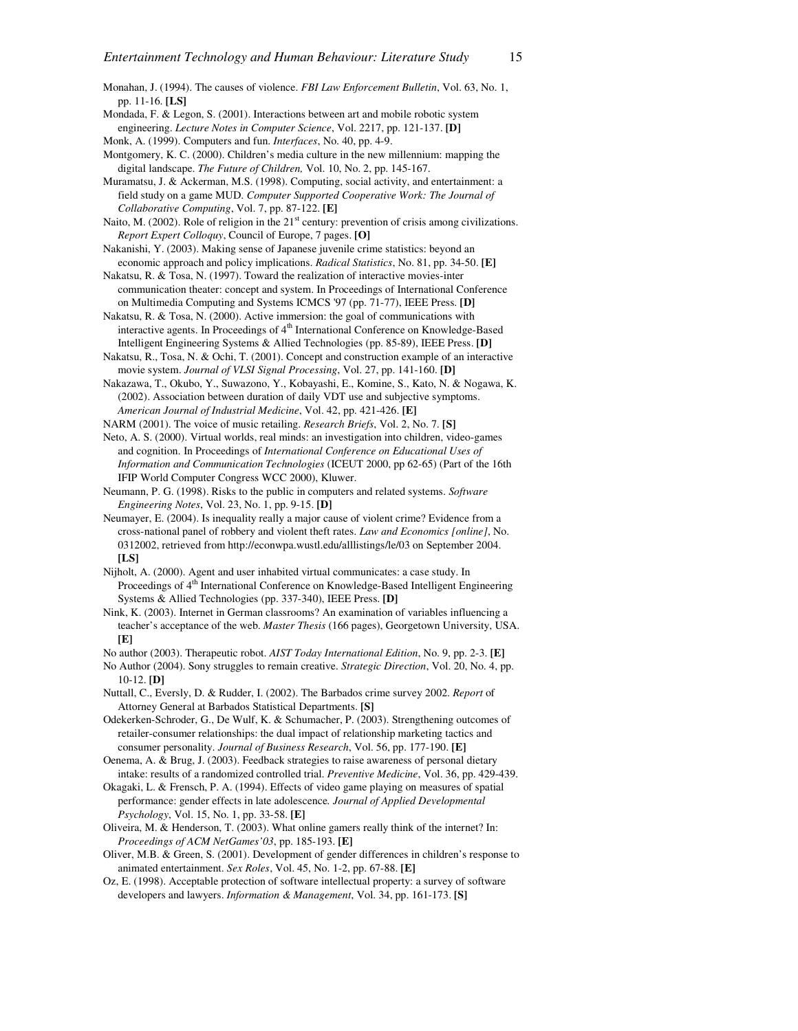Monahan, J. (1994). The causes of violence. *FBI Law Enforcement Bulletin*, Vol. 63, No. 1, pp. 11-16. **[LS]**

- Mondada, F. & Legon, S. (2001). Interactions between art and mobile robotic system engineering. *Lecture Notes in Computer Science*, Vol. 2217, pp. 121-137. **[D]**
- Monk, A. (1999). Computers and fun. *Interfaces*, No. 40, pp. 4-9.
- Montgomery, K. C. (2000). Children's media culture in the new millennium: mapping the digital landscape. *The Future of Children,* Vol. 10, No. 2, pp. 145-167.

Muramatsu, J. & Ackerman, M.S. (1998). Computing, social activity, and entertainment: a field study on a game MUD. *Computer Supported Cooperative Work: The Journal of Collaborative Computing*, Vol. 7, pp. 87-122. **[E]** 

Naito, M. (2002). Role of religion in the  $21<sup>st</sup>$  century: prevention of crisis among civilizations. *Report Expert Colloquy*, Council of Europe, 7 pages. **[O]**

Nakanishi, Y. (2003). Making sense of Japanese juvenile crime statistics: beyond an economic approach and policy implications. *Radical Statistics*, No. 81, pp. 34-50. **[E]**

Nakatsu, R. & Tosa, N. (1997). Toward the realization of interactive movies-inter communication theater: concept and system. In Proceedings of International Conference on Multimedia Computing and Systems ICMCS '97 (pp. 71-77), IEEE Press. **[D]**

Nakatsu, R. & Tosa, N. (2000). Active immersion: the goal of communications with interactive agents. In Proceedings of 4<sup>th</sup> International Conference on Knowledge-Based Intelligent Engineering Systems & Allied Technologies (pp. 85-89), IEEE Press. **[D]**

Nakatsu, R., Tosa, N. & Ochi, T. (2001). Concept and construction example of an interactive movie system. *Journal of VLSI Signal Processing*, Vol. 27, pp. 141-160. **[D]**

Nakazawa, T., Okubo, Y., Suwazono, Y., Kobayashi, E., Komine, S., Kato, N. & Nogawa, K. (2002). Association between duration of daily VDT use and subjective symptoms. *American Journal of Industrial Medicine*, Vol. 42, pp. 421-426. **[E]**

NARM (2001). The voice of music retailing. *Research Briefs*, Vol. 2, No. 7. **[S]**

Neto, A. S. (2000). Virtual worlds, real minds: an investigation into children, video-games and cognition. In Proceedings of *International Conference on Educational Uses of Information and Communication Technologies* (ICEUT 2000, pp 62-65) (Part of the 16th IFIP World Computer Congress WCC 2000), Kluwer.

Neumann, P. G. (1998). Risks to the public in computers and related systems. *Software Engineering Notes*, Vol. 23, No. 1, pp. 9-15. **[D]** 

Neumayer, E. (2004). Is inequality really a major cause of violent crime? Evidence from a cross-national panel of robbery and violent theft rates. *Law and Economics [online]*, No. 0312002, retrieved from http://econwpa.wustl.edu/alllistings/le/03 on September 2004. **[LS]**

Nijholt, A. (2000). Agent and user inhabited virtual communicates: a case study. In Proceedings of 4<sup>th</sup> International Conference on Knowledge-Based Intelligent Engineering Systems & Allied Technologies (pp. 337-340), IEEE Press. **[D]**

Nink, K. (2003). Internet in German classrooms? An examination of variables influencing a teacher's acceptance of the web. *Master Thesis* (166 pages), Georgetown University, USA. **[E]**

No author (2003). Therapeutic robot. *AIST Today International Edition*, No. 9, pp. 2-3. **[E]**

No Author (2004). Sony struggles to remain creative. *Strategic Direction*, Vol. 20, No. 4, pp. 10-12. **[D]** 

Nuttall, C., Eversly, D. & Rudder, I. (2002). The Barbados crime survey 2002. *Report* of Attorney General at Barbados Statistical Departments. **[S]**

Odekerken-Schroder, G., De Wulf, K. & Schumacher, P. (2003). Strengthening outcomes of retailer-consumer relationships: the dual impact of relationship marketing tactics and consumer personality. *Journal of Business Research*, Vol. 56, pp. 177-190. **[E]**

Oenema, A. & Brug, J. (2003). Feedback strategies to raise awareness of personal dietary intake: results of a randomized controlled trial. *Preventive Medicine*, Vol. 36, pp. 429-439.

Okagaki, L. & Frensch, P. A. (1994). Effects of video game playing on measures of spatial performance: gender effects in late adolescence*. Journal of Applied Developmental Psychology*, Vol. 15, No. 1, pp. 33-58. **[E]** 

Oliveira, M. & Henderson, T. (2003). What online gamers really think of the internet? In: *Proceedings of ACM NetGames'03*, pp. 185-193. **[E]**

Oliver, M.B. & Green, S. (2001). Development of gender differences in children's response to animated entertainment. *Sex Roles*, Vol. 45, No. 1-2, pp. 67-88. **[E]**

Oz, E. (1998). Acceptable protection of software intellectual property: a survey of software developers and lawyers. *Information & Management*, Vol. 34, pp. 161-173. **[S]**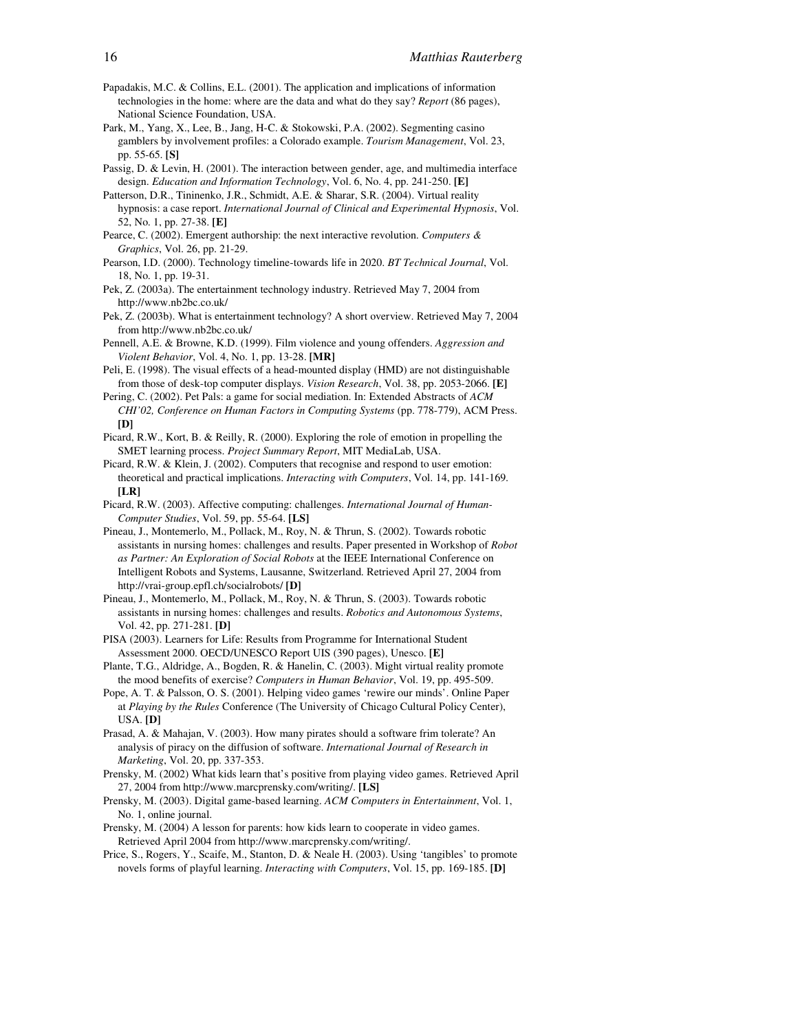- Papadakis, M.C. & Collins, E.L. (2001). The application and implications of information technologies in the home: where are the data and what do they say? *Report* (86 pages), National Science Foundation, USA.
- Park, M., Yang, X., Lee, B., Jang, H-C. & Stokowski, P.A. (2002). Segmenting casino gamblers by involvement profiles: a Colorado example. *Tourism Management*, Vol. 23, pp. 55-65. **[S]**
- Passig, D. & Levin, H. (2001). The interaction between gender, age, and multimedia interface design. *Education and Information Technology*, Vol. 6, No. 4, pp. 241-250. **[E]**
- Patterson, D.R., Tininenko, J.R., Schmidt, A.E. & Sharar, S.R. (2004). Virtual reality hypnosis: a case report. *International Journal of Clinical and Experimental Hypnosis*, Vol. 52, No. 1, pp. 27-38. **[E]**
- Pearce, C. (2002). Emergent authorship: the next interactive revolution. *Computers & Graphics*, Vol. 26, pp. 21-29.
- Pearson, I.D. (2000). Technology timeline-towards life in 2020. *BT Technical Journal*, Vol. 18, No. 1, pp. 19-31.
- Pek, Z. (2003a). The entertainment technology industry. Retrieved May 7, 2004 from http://www.nb2bc.co.uk/
- Pek, Z. (2003b). What is entertainment technology? A short overview. Retrieved May 7, 2004 from http://www.nb2bc.co.uk/
- Pennell, A.E. & Browne, K.D. (1999). Film violence and young offenders. *Aggression and Violent Behavior*, Vol. 4, No. 1, pp. 13-28. **[MR]**
- Peli, E. (1998). The visual effects of a head-mounted display (HMD) are not distinguishable from those of desk-top computer displays. *Vision Research*, Vol. 38, pp. 2053-2066. **[E]**
- Pering, C. (2002). Pet Pals: a game for social mediation. In: Extended Abstracts of *ACM CHI'02, Conference on Human Factors in Computing Systems* (pp. 778-779), ACM Press. **[D]**
- Picard, R.W., Kort, B. & Reilly, R. (2000). Exploring the role of emotion in propelling the SMET learning process. *Project Summary Report*, MIT MediaLab, USA.
- Picard, R.W. & Klein, J. (2002). Computers that recognise and respond to user emotion: theoretical and practical implications. *Interacting with Computers*, Vol. 14, pp. 141-169. **[LR]**
- Picard, R.W. (2003). Affective computing: challenges. *International Journal of Human-Computer Studies*, Vol. 59, pp. 55-64. **[LS]**
- Pineau, J., Montemerlo, M., Pollack, M., Roy, N. & Thrun, S. (2002). Towards robotic assistants in nursing homes: challenges and results. Paper presented in Workshop of *Robot as Partner: An Exploration of Social Robots* at the IEEE International Conference on Intelligent Robots and Systems, Lausanne, Switzerland. Retrieved April 27, 2004 from http://vrai-group.epfl.ch/socialrobots/ **[D]**
- Pineau, J., Montemerlo, M., Pollack, M., Roy, N. & Thrun, S. (2003). Towards robotic assistants in nursing homes: challenges and results. *Robotics and Autonomous Systems*, Vol. 42, pp. 271-281. **[D]**
- PISA (2003). Learners for Life: Results from Programme for International Student Assessment 2000. OECD/UNESCO Report UIS (390 pages), Unesco. **[E]**
- Plante, T.G., Aldridge, A., Bogden, R. & Hanelin, C. (2003). Might virtual reality promote the mood benefits of exercise? *Computers in Human Behavior*, Vol. 19, pp. 495-509.
- Pope, A. T. & Palsson, O. S. (2001). Helping video games 'rewire our minds'. Online Paper at *Playing by the Rules* Conference (The University of Chicago Cultural Policy Center), USA. **[D]**
- Prasad, A. & Mahajan, V. (2003). How many pirates should a software frim tolerate? An analysis of piracy on the diffusion of software. *International Journal of Research in Marketing*, Vol. 20, pp. 337-353.
- Prensky, M. (2002) What kids learn that's positive from playing video games. Retrieved April 27, 2004 from http://www.marcprensky.com/writing/. **[LS]**
- Prensky, M. (2003). Digital game-based learning. *ACM Computers in Entertainment*, Vol. 1, No. 1, online journal.
- Prensky, M. (2004) A lesson for parents: how kids learn to cooperate in video games. Retrieved April 2004 from http://www.marcprensky.com/writing/.
- Price, S., Rogers, Y., Scaife, M., Stanton, D. & Neale H. (2003). Using 'tangibles' to promote novels forms of playful learning. *Interacting with Computers*, Vol. 15, pp. 169-185. **[D]**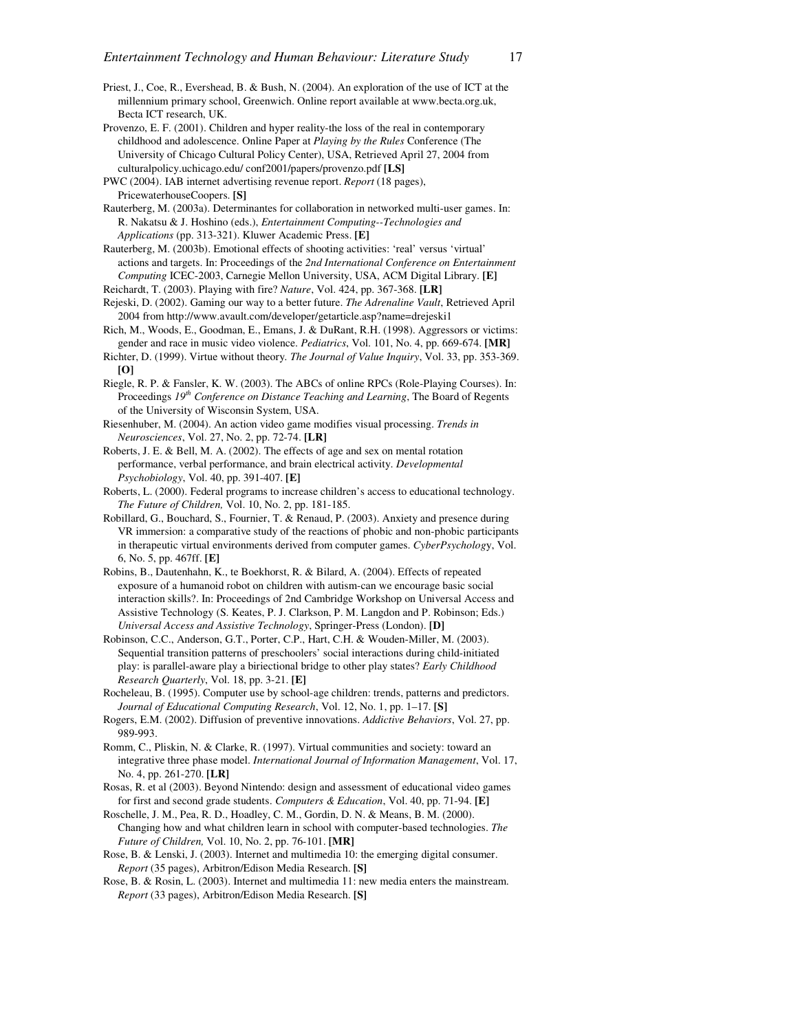- Priest, J., Coe, R., Evershead, B. & Bush, N. (2004). An exploration of the use of ICT at the millennium primary school, Greenwich. Online report available at www.becta.org.uk, Becta ICT research, UK.
- Provenzo, E. F. (2001). Children and hyper reality-the loss of the real in contemporary childhood and adolescence. Online Paper at *Playing by the Rules* Conference (The University of Chicago Cultural Policy Center), USA, Retrieved April 27, 2004 from culturalpolicy.uchicago.edu/ conf2001/papers/provenzo.pdf **[LS]**
- PWC (2004). IAB internet advertising revenue report. *Report* (18 pages), PricewaterhouseCoopers. **[S]**

Rauterberg, M. (2003a). Determinantes for collaboration in networked multi-user games. In: R. Nakatsu & J. Hoshino (eds.), *Entertainment Computing--Technologies and Applications* (pp. 313-321). Kluwer Academic Press. **[E]**

- Rauterberg, M. (2003b). Emotional effects of shooting activities: 'real' versus 'virtual' actions and targets. In: Proceedings of the *2nd International Conference on Entertainment Computing* ICEC-2003, Carnegie Mellon University, USA, ACM Digital Library. **[E]**
- Reichardt, T. (2003). Playing with fire? *Nature*, Vol. 424, pp. 367-368. **[LR]**
- Rejeski, D. (2002). Gaming our way to a better future. *The Adrenaline Vault*, Retrieved April 2004 from http://www.avault.com/developer/getarticle.asp?name=drejeski1
- Rich, M., Woods, E., Goodman, E., Emans, J. & DuRant, R.H. (1998). Aggressors or victims: gender and race in music video violence. *Pediatrics*, Vol. 101, No. 4, pp. 669-674. **[MR]**
- Richter, D. (1999). Virtue without theory*. The Journal of Value Inquiry*, Vol. 33, pp. 353-369. **[O]**
- Riegle, R. P. & Fansler, K. W. (2003). The ABCs of online RPCs (Role-Playing Courses). In: Proceedings *19th Conference on Distance Teaching and Learning*, The Board of Regents of the University of Wisconsin System, USA.
- Riesenhuber, M. (2004). An action video game modifies visual processing. *Trends in Neurosciences*, Vol. 27, No. 2, pp. 72-74. **[LR]**
- Roberts, J. E. & Bell, M. A. (2002). The effects of age and sex on mental rotation performance, verbal performance, and brain electrical activity. *Developmental Psychobiology*, Vol. 40, pp. 391-407. **[E]**
- Roberts, L. (2000). Federal programs to increase children's access to educational technology. *The Future of Children,* Vol. 10, No. 2, pp. 181-185.
- Robillard, G., Bouchard, S., Fournier, T. & Renaud, P. (2003). Anxiety and presence during VR immersion: a comparative study of the reactions of phobic and non-phobic participants in therapeutic virtual environments derived from computer games. *CyberPsycholog*y, Vol. 6, No. 5, pp. 467ff. **[E]**
- Robins, B., Dautenhahn, K., te Boekhorst, R. & Bilard, A. (2004). Effects of repeated exposure of a humanoid robot on children with autism-can we encourage basic social interaction skills?. In: Proceedings of 2nd Cambridge Workshop on Universal Access and Assistive Technology (S. Keates, P. J. Clarkson, P. M. Langdon and P. Robinson; Eds.) *Universal Access and Assistive Technology*, Springer-Press (London). **[D]**
- Robinson, C.C., Anderson, G.T., Porter, C.P., Hart, C.H. & Wouden-Miller, M. (2003). Sequential transition patterns of preschoolers' social interactions during child-initiated play: is parallel-aware play a biriectional bridge to other play states? *Early Childhood Research Quarterly*, Vol. 18, pp. 3-21. **[E]**
- Rocheleau, B. (1995). Computer use by school-age children: trends, patterns and predictors. *Journal of Educational Computing Research*, Vol. 12, No. 1, pp. 1–17. **[S]**
- Rogers, E.M. (2002). Diffusion of preventive innovations. *Addictive Behaviors*, Vol. 27, pp. 989-993.
- Romm, C., Pliskin, N. & Clarke, R. (1997). Virtual communities and society: toward an integrative three phase model. *International Journal of Information Management*, Vol. 17, No. 4, pp. 261-270. **[LR]**
- Rosas, R. et al (2003). Beyond Nintendo: design and assessment of educational video games for first and second grade students. *Computers & Education*, Vol. 40, pp. 71-94. **[E]**
- Roschelle, J. M., Pea, R. D., Hoadley, C. M., Gordin, D. N. & Means, B. M. (2000). Changing how and what children learn in school with computer-based technologies. *The Future of Children,* Vol. 10, No. 2, pp. 76-101. **[MR]**
- Rose, B. & Lenski, J. (2003). Internet and multimedia 10: the emerging digital consumer. *Report* (35 pages), Arbitron/Edison Media Research. **[S]**
- Rose, B. & Rosin, L. (2003). Internet and multimedia 11: new media enters the mainstream. *Report* (33 pages), Arbitron/Edison Media Research. **[S]**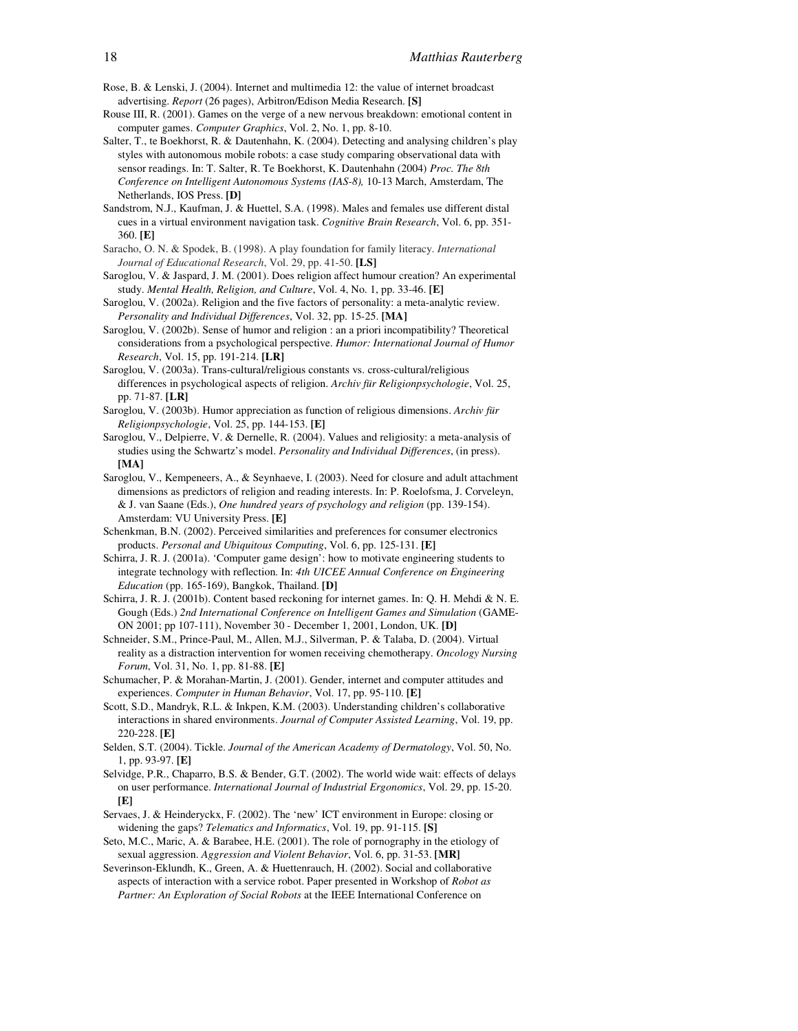- Rose, B. & Lenski, J. (2004). Internet and multimedia 12: the value of internet broadcast advertising. *Report* (26 pages), Arbitron/Edison Media Research. **[S]**
- Rouse III, R. (2001). Games on the verge of a new nervous breakdown: emotional content in computer games. *Computer Graphics*, Vol. 2, No. 1, pp. 8-10.
- Salter, T., te Boekhorst, R. & Dautenhahn, K. (2004). Detecting and analysing children's play styles with autonomous mobile robots: a case study comparing observational data with sensor readings. In: T. Salter, R. Te Boekhorst, K. Dautenhahn (2004) *Proc. The 8th Conference on Intelligent Autonomous Systems (IAS-8),* 10-13 March, Amsterdam, The Netherlands, IOS Press. **[D]**
- Sandstrom, N.J., Kaufman, J. & Huettel, S.A. (1998). Males and females use different distal cues in a virtual environment navigation task. *Cognitive Brain Research*, Vol. 6, pp. 351- 360. **[E]**
- Saracho, O. N. & Spodek, B. (1998). A play foundation for family literacy. *International Journal of Educational Research*, Vol. 29, pp. 41-50. **[LS]**
- Saroglou, V. & Jaspard, J. M. (2001). Does religion affect humour creation? An experimental study. *Mental Health, Religion, and Culture*, Vol. 4, No. 1, pp. 33-46. **[E]**
- Saroglou, V. (2002a). Religion and the five factors of personality: a meta-analytic review. *Personality and Individual Differences*, Vol. 32, pp. 15-25. **[MA]**
- Saroglou, V. (2002b). Sense of humor and religion : an a priori incompatibility? Theoretical considerations from a psychological perspective. *Humor: International Journal of Humor Research*, Vol. 15, pp. 191-214. **[LR]**
- Saroglou, V. (2003a). Trans-cultural/religious constants vs. cross-cultural/religious differences in psychological aspects of religion. *Archiv für Religionpsychologie*, Vol. 25, pp. 71-87. **[LR]**
- Saroglou, V. (2003b). Humor appreciation as function of religious dimensions. *Archiv für Religionpsychologie*, Vol. 25, pp. 144-153. **[E]**
- Saroglou, V., Delpierre, V. & Dernelle, R. (2004). Values and religiosity: a meta-analysis of studies using the Schwartz's model. *Personality and Individual Differences*, (in press). **[MA]**
- Saroglou, V., Kempeneers, A., & Seynhaeve, I. (2003). Need for closure and adult attachment dimensions as predictors of religion and reading interests. In: P. Roelofsma, J. Corveleyn, & J. van Saane (Eds.), *One hundred years of psychology and religion* (pp. 139-154). Amsterdam: VU University Press. **[E]**
- Schenkman, B.N. (2002). Perceived similarities and preferences for consumer electronics products. *Personal and Ubiquitous Computing*, Vol. 6, pp. 125-131. **[E]**
- Schirra, J. R. J. (2001a). 'Computer game design': how to motivate engineering students to integrate technology with reflection. In: *4th UICEE Annual Conference on Engineering Education* (pp. 165-169), Bangkok, Thailand. **[D]**
- Schirra, J. R. J. (2001b). Content based reckoning for internet games. In: Q. H. Mehdi & N. E. Gough (Eds.) *2nd International Conference on Intelligent Games and Simulation* (GAME-ON 2001; pp 107-111), November 30 - December 1, 2001, London, UK. **[D]**
- Schneider, S.M., Prince-Paul, M., Allen, M.J., Silverman, P. & Talaba, D. (2004). Virtual reality as a distraction intervention for women receiving chemotherapy. *Oncology Nursing Forum*, Vol. 31, No. 1, pp. 81-88. **[E]**
- Schumacher, P. & Morahan-Martin, J. (2001). Gender, internet and computer attitudes and experiences. *Computer in Human Behavior*, Vol. 17, pp. 95-110. **[E]**
- Scott, S.D., Mandryk, R.L. & Inkpen, K.M. (2003). Understanding children's collaborative interactions in shared environments. *Journal of Computer Assisted Learning*, Vol. 19, pp. 220-228. **[E]**
- Selden, S.T. (2004). Tickle. *Journal of the American Academy of Dermatology*, Vol. 50, No. 1, pp. 93-97. **[E]**
- Selvidge, P.R., Chaparro, B.S. & Bender, G.T. (2002). The world wide wait: effects of delays on user performance. *International Journal of Industrial Ergonomics*, Vol. 29, pp. 15-20. **[E]**
- Servaes, J. & Heinderyckx, F. (2002). The 'new' ICT environment in Europe: closing or widening the gaps? *Telematics and Informatics*, Vol. 19, pp. 91-115. **[S]**
- Seto, M.C., Maric, A. & Barabee, H.E. (2001). The role of pornography in the etiology of sexual aggression. *Aggression and Violent Behavior*, Vol. 6, pp. 31-53. **[MR]**
- Severinson-Eklundh, K., Green, A. & Huettenrauch, H. (2002). Social and collaborative aspects of interaction with a service robot. Paper presented in Workshop of *Robot as Partner: An Exploration of Social Robots* at the IEEE International Conference on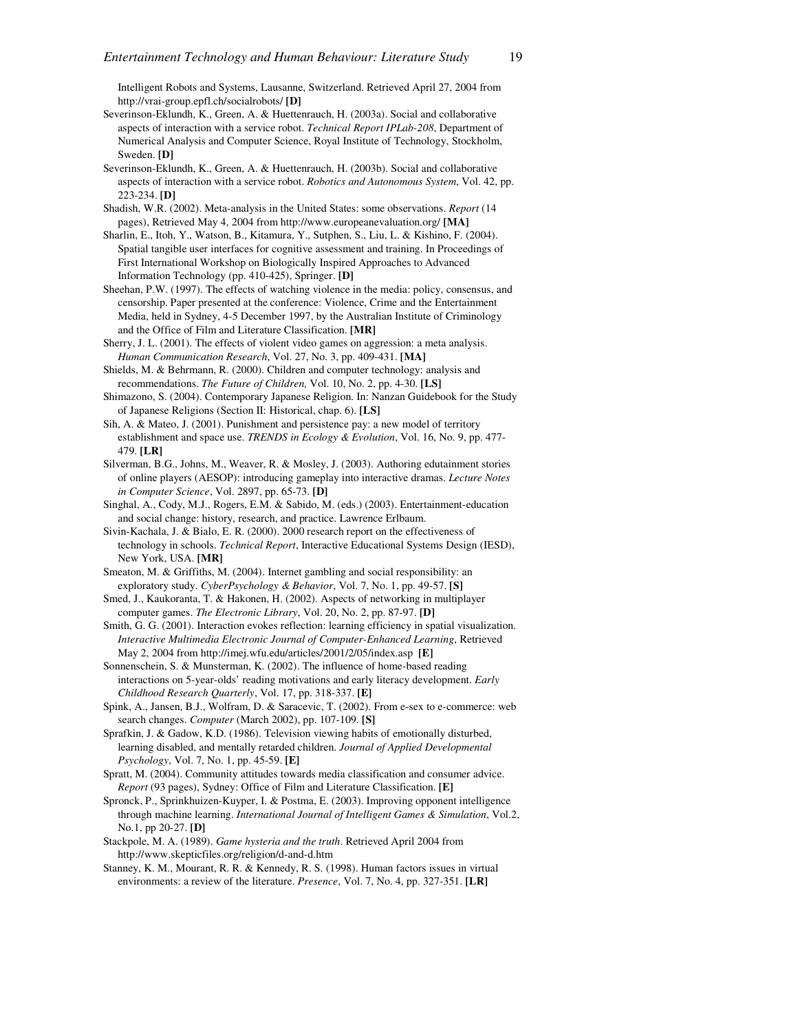Intelligent Robots and Systems, Lausanne, Switzerland. Retrieved April 27, 2004 from http://vrai-group.epfl.ch/socialrobots/ **[D]**

- Severinson-Eklundh, K., Green, A. & Huettenrauch, H. (2003a). Social and collaborative aspects of interaction with a service robot. *Technical Report IPLab-208*, Department of Numerical Analysis and Computer Science, Royal Institute of Technology, Stockholm, Sweden. **[D]**
- Severinson-Eklundh, K., Green, A. & Huettenrauch, H. (2003b). Social and collaborative aspects of interaction with a service robot. *Robotics and Autonomous System*, Vol. 42, pp. 223-234. **[D]**
- Shadish, W.R. (2002). Meta-analysis in the United States: some observations. *Report* (14 pages), Retrieved May 4, 2004 from http://www.europeanevaluation.org/ **[MA]**
- Sharlin, E., Itoh, Y., Watson, B., Kitamura, Y., Sutphen, S., Liu, L. & Kishino, F. (2004). Spatial tangible user interfaces for cognitive assessment and training. In Proceedings of First International Workshop on Biologically Inspired Approaches to Advanced Information Technology (pp. 410-425), Springer. **[D]**
- Sheehan, P.W. (1997). The effects of watching violence in the media: policy, consensus, and censorship. Paper presented at the conference: Violence, Crime and the Entertainment Media, held in Sydney, 4-5 December 1997, by the Australian Institute of Criminology and the Office of Film and Literature Classification. **[MR]**
- Sherry, J. L. (2001). The effects of violent video games on aggression: a meta analysis. *Human Communication Research*, Vol. 27, No. 3, pp. 409-431. **[MA]**
- Shields, M. & Behrmann, R. (2000). Children and computer technology: analysis and recommendations. *The Future of Children,* Vol. 10, No. 2, pp. 4-30. **[LS]**
- Shimazono, S. (2004). Contemporary Japanese Religion. In: Nanzan Guidebook for the Study of Japanese Religions (Section II: Historical, chap. 6). **[LS]**
- Sih, A. & Mateo, J. (2001). Punishment and persistence pay: a new model of territory establishment and space use. *TRENDS in Ecology & Evolution*, Vol. 16, No. 9, pp. 477- 479. **[LR]**
- Silverman, B.G., Johns, M., Weaver, R. & Mosley, J. (2003). Authoring edutainment stories of online players (AESOP): introducing gameplay into interactive dramas. *Lecture Notes in Computer Science*, Vol. 2897, pp. 65-73. **[D]**
- Singhal, A., Cody, M.J., Rogers, E.M. & Sabido, M. (eds.) (2003). Entertainment-education and social change: history, research, and practice. Lawrence Erlbaum.
- Sivin-Kachala, J. & Bialo, E. R. (2000). 2000 research report on the effectiveness of technology in schools. *Technical Report*, Interactive Educational Systems Design (IESD), New York, USA. **[MR]**
- Smeaton, M. & Griffiths, M. (2004). Internet gambling and social responsibility: an exploratory study. *CyberPsychology & Behavior*, Vol. 7, No. 1, pp. 49-57. **[S]**
- Smed, J., Kaukoranta, T. & Hakonen, H. (2002). Aspects of networking in multiplayer computer games. *The Electronic Library*, Vol. 20, No. 2, pp. 87-97. **[D]**
- Smith, G. G. (2001). Interaction evokes reflection: learning efficiency in spatial visualization. *Interactive Multimedia Electronic Journal of Computer-Enhanced Learning*, Retrieved May 2, 2004 from http://imej.wfu.edu/articles/2001/2/05/index.asp **[E]**
- Sonnenschein, S. & Munsterman, K. (2002). The influence of home-based reading interactions on 5-year-olds' reading motivations and early literacy development. *Early Childhood Research Quarterly*, Vol. 17, pp. 318-337. **[E]**
- Spink, A., Jansen, B.J., Wolfram, D. & Saracevic, T. (2002). From e-sex to e-commerce: web search changes. *Computer* (March 2002), pp. 107-109. **[S]**
- Sprafkin, J. & Gadow, K.D. (1986). Television viewing habits of emotionally disturbed, learning disabled, and mentally retarded children. *Journal of Applied Developmental Psychology*, Vol. 7, No. 1, pp. 45-59. **[E]**
- Spratt, M. (2004). Community attitudes towards media classification and consumer advice. *Report* (93 pages), Sydney: Office of Film and Literature Classification. **[E]**
- Spronck, P., Sprinkhuizen-Kuyper, I. & Postma, E. (2003). Improving opponent intelligence through machine learning. *International Journal of Intelligent Games & Simulation*, Vol.2, No.1, pp 20-27. **[D]**
- Stackpole, M. A. (1989). *Game hysteria and the truth*. Retrieved April 2004 from http://www.skepticfiles.org/religion/d-and-d.htm
- Stanney, K. M., Mourant, R. R. & Kennedy, R. S. (1998). Human factors issues in virtual environments: a review of the literature. *Presence*, Vol. 7, No. 4, pp. 327-351. **[LR]**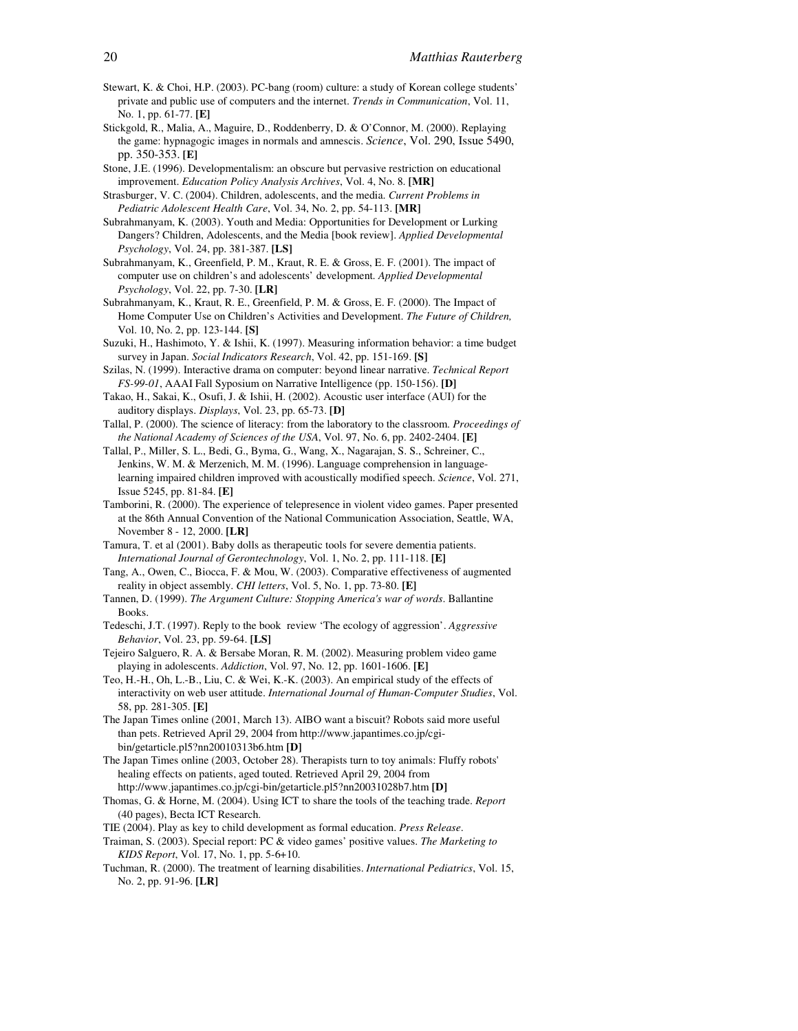- Stewart, K. & Choi, H.P. (2003). PC-bang (room) culture: a study of Korean college students' private and public use of computers and the internet. *Trends in Communication*, Vol. 11, No. 1, pp. 61-77. **[E]**
- Stickgold, R., Malia, A., Maguire, D., Roddenberry, D. & O'Connor, M. (2000). Replaying the game: hypnagogic images in normals and amnescis. *Science*, Vol. 290, Issue 5490, pp. 350-353. **[E]**
- Stone, J.E. (1996). Developmentalism: an obscure but pervasive restriction on educational improvement. *Education Policy Analysis Archives*, Vol. 4, No. 8. **[MR]**
- Strasburger, V. C. (2004). Children, adolescents, and the media. *Current Problems in Pediatric Adolescent Health Care*, Vol. 34, No. 2, pp. 54-113. **[MR]**
- Subrahmanyam, K. (2003). Youth and Media: Opportunities for Development or Lurking Dangers? Children, Adolescents, and the Media [book review]. *Applied Developmental Psychology*, Vol. 24, pp. 381-387. **[LS]**
- Subrahmanyam, K., Greenfield, P. M., Kraut, R. E. & Gross, E. F. (2001). The impact of computer use on children's and adolescents' development*. Applied Developmental Psychology*, Vol. 22, pp. 7-30. **[LR]**
- Subrahmanyam, K., Kraut, R. E., Greenfield, P. M. & Gross, E. F. (2000). The Impact of Home Computer Use on Children's Activities and Development. *The Future of Children,* Vol. 10, No. 2, pp. 123-144. **[S]**
- Suzuki, H., Hashimoto, Y. & Ishii, K. (1997). Measuring information behavior: a time budget survey in Japan. *Social Indicators Research*, Vol. 42, pp. 151-169. **[S]**
- Szilas, N. (1999). Interactive drama on computer: beyond linear narrative. *Technical Report FS-99-01*, AAAI Fall Syposium on Narrative Intelligence (pp. 150-156). **[D]**
- Takao, H., Sakai, K., Osufi, J. & Ishii, H. (2002). Acoustic user interface (AUI) for the auditory displays. *Displays*, Vol. 23, pp. 65-73. **[D]**
- Tallal, P. (2000). The science of literacy: from the laboratory to the classroom. *Proceedings of the National Academy of Sciences of the USA*, Vol. 97, No. 6, pp. 2402-2404. **[E]**
- Tallal, P., Miller, S. L., Bedi, G., Byma, G., Wang, X., Nagarajan, S. S., Schreiner, C., Jenkins, W. M. & Merzenich, M. M. (1996). Language comprehension in languagelearning impaired children improved with acoustically modified speech. *Science*, Vol. 271, Issue 5245, pp. 81-84. **[E]**
- Tamborini, R. (2000). The experience of telepresence in violent video games. Paper presented at the 86th Annual Convention of the National Communication Association, Seattle, WA, November 8 - 12, 2000. **[LR]**
- Tamura, T. et al (2001). Baby dolls as therapeutic tools for severe dementia patients. *International Journal of Gerontechnology*, Vol. 1, No. 2, pp. 111-118. **[E]**
- Tang, A., Owen, C., Biocca, F. & Mou, W. (2003). Comparative effectiveness of augmented reality in object assembly. *CHI letters*, Vol. 5, No. 1, pp. 73-80. **[E]**
- Tannen, D. (1999). *The Argument Culture: Stopping America's war of words*. Ballantine Books.
- Tedeschi, J.T. (1997). Reply to the book review 'The ecology of aggression'. *Aggressive Behavior*, Vol. 23, pp. 59-64. **[LS]**
- Tejeiro Salguero, R. A. & Bersabe Moran, R. M. (2002). Measuring problem video game playing in adolescents. *Addiction*, Vol. 97, No. 12, pp. 1601-1606. **[E]**
- Teo, H.-H., Oh, L.-B., Liu, C. & Wei, K.-K. (2003). An empirical study of the effects of interactivity on web user attitude. *International Journal of Human-Computer Studies*, Vol. 58, pp. 281-305. **[E]**
- The Japan Times online (2001, March 13). AIBO want a biscuit? Robots said more useful than pets. Retrieved April 29, 2004 from http://www.japantimes.co.jp/cgibin/getarticle.pl5?nn20010313b6.htm **[D]**
- The Japan Times online (2003, October 28). Therapists turn to toy animals: Fluffy robots' healing effects on patients, aged touted. Retrieved April 29, 2004 from http://www.japantimes.co.jp/cgi-bin/getarticle.pl5?nn20031028b7.htm **[D]**
- Thomas, G. & Horne, M. (2004). Using ICT to share the tools of the teaching trade. *Report* (40 pages), Becta ICT Research.
- TIE (2004). Play as key to child development as formal education. *Press Release*.
- Traiman, S. (2003). Special report: PC & video games' positive values. *The Marketing to KIDS Report*, Vol. 17, No. 1, pp. 5-6+10.
- Tuchman, R. (2000). The treatment of learning disabilities. *International Pediatrics*, Vol. 15, No. 2, pp. 91-96. **[LR]**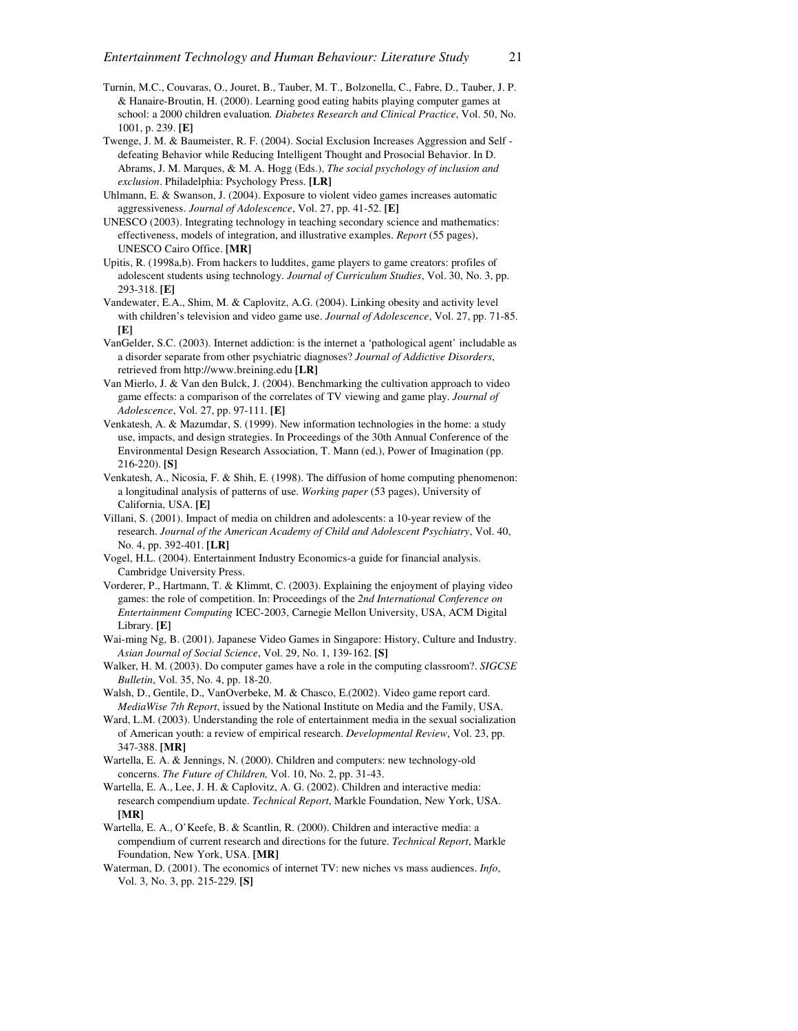- Turnin, M.C., Couvaras, O., Jouret, B., Tauber, M. T., Bolzonella, C., Fabre, D., Tauber, J. P. & Hanaire-Broutin, H. (2000). Learning good eating habits playing computer games at school: a 2000 children evaluation*. Diabetes Research and Clinical Practice*, Vol. 50, No. 1001, p. 239. **[E]**
- Twenge, J. M. & Baumeister, R. F. (2004). Social Exclusion Increases Aggression and Self defeating Behavior while Reducing Intelligent Thought and Prosocial Behavior. In D. Abrams, J. M. Marques, & M. A. Hogg (Eds.), *The social psychology of inclusion and exclusion*. Philadelphia: Psychology Press. **[LR]**
- Uhlmann, E. & Swanson, J. (2004). Exposure to violent video games increases automatic aggressiveness. *Journal of Adolescence*, Vol. 27, pp. 41-52. **[E]**
- UNESCO (2003). Integrating technology in teaching secondary science and mathematics: effectiveness, models of integration, and illustrative examples. *Report* (55 pages), UNESCO Cairo Office. **[MR]**
- Upitis, R. (1998a,b). From hackers to luddites, game players to game creators: profiles of adolescent students using technology. *Journal of Curriculum Studies*, Vol. 30, No. 3, pp. 293-318. **[E]**
- Vandewater, E.A., Shim, M. & Caplovitz, A.G. (2004). Linking obesity and activity level with children's television and video game use. *Journal of Adolescence*, Vol. 27, pp. 71-85. **[E]**
- VanGelder, S.C. (2003). Internet addiction: is the internet a 'pathological agent' includable as a disorder separate from other psychiatric diagnoses? *Journal of Addictive Disorders*, retrieved from http://www.breining.edu **[LR]**
- Van Mierlo, J. & Van den Bulck, J. (2004). Benchmarking the cultivation approach to video game effects: a comparison of the correlates of TV viewing and game play. *Journal of Adolescence*, Vol. 27, pp. 97-111. **[E]**
- Venkatesh, A. & Mazumdar, S. (1999). New information technologies in the home: a study use, impacts, and design strategies. In Proceedings of the 30th Annual Conference of the Environmental Design Research Association, T. Mann (ed.), Power of Imagination (pp. 216-220). **[S]**
- Venkatesh, A., Nicosia, F. & Shih, E. (1998). The diffusion of home computing phenomenon: a longitudinal analysis of patterns of use. *Working paper* (53 pages), University of California, USA. **[E]**
- Villani, S. (2001). Impact of media on children and adolescents: a 10-year review of the research. *Journal of the American Academy of Child and Adolescent Psychiatry*, Vol. 40, No. 4, pp. 392-401. **[LR]**
- Vogel, H.L. (2004). Entertainment Industry Economics-a guide for financial analysis. Cambridge University Press.
- Vorderer, P., Hartmann, T. & Klimmt, C. (2003). Explaining the enjoyment of playing video games: the role of competition. In: Proceedings of the *2nd International Conference on Entertainment Computing* ICEC-2003, Carnegie Mellon University, USA, ACM Digital Library. **[E]**
- Wai-ming Ng, B. (2001). Japanese Video Games in Singapore: History, Culture and Industry. *Asian Journal of Social Science*, Vol. 29, No. 1, 139-162. **[S]**
- Walker, H. M. (2003). Do computer games have a role in the computing classroom?. *SIGCSE Bulletin*, Vol. 35, No. 4, pp. 18-20.
- Walsh, D., Gentile, D., VanOverbeke, M. & Chasco, E.(2002). Video game report card. *MediaWise 7th Report*, issued by the National Institute on Media and the Family, USA.
- Ward, L.M. (2003). Understanding the role of entertainment media in the sexual socialization of American youth: a review of empirical research. *Developmental Review*, Vol. 23, pp. 347-388. **[MR]**
- Wartella, E. A. & Jennings, N. (2000). Children and computers: new technology-old concerns. *The Future of Children,* Vol. 10, No. 2, pp. 31-43.
- Wartella, E. A., Lee, J. H. & Caplovitz, A. G. (2002). Children and interactive media: research compendium update. *Technical Report*, Markle Foundation, New York, USA. **[MR]**
- Wartella, E. A., O'Keefe, B. & Scantlin, R. (2000). Children and interactive media: a compendium of current research and directions for the future. *Technical Report*, Markle Foundation, New York, USA. **[MR]**
- Waterman, D. (2001). The economics of internet TV: new niches vs mass audiences. *Info*, Vol. 3, No. 3, pp. 215-229. **[S]**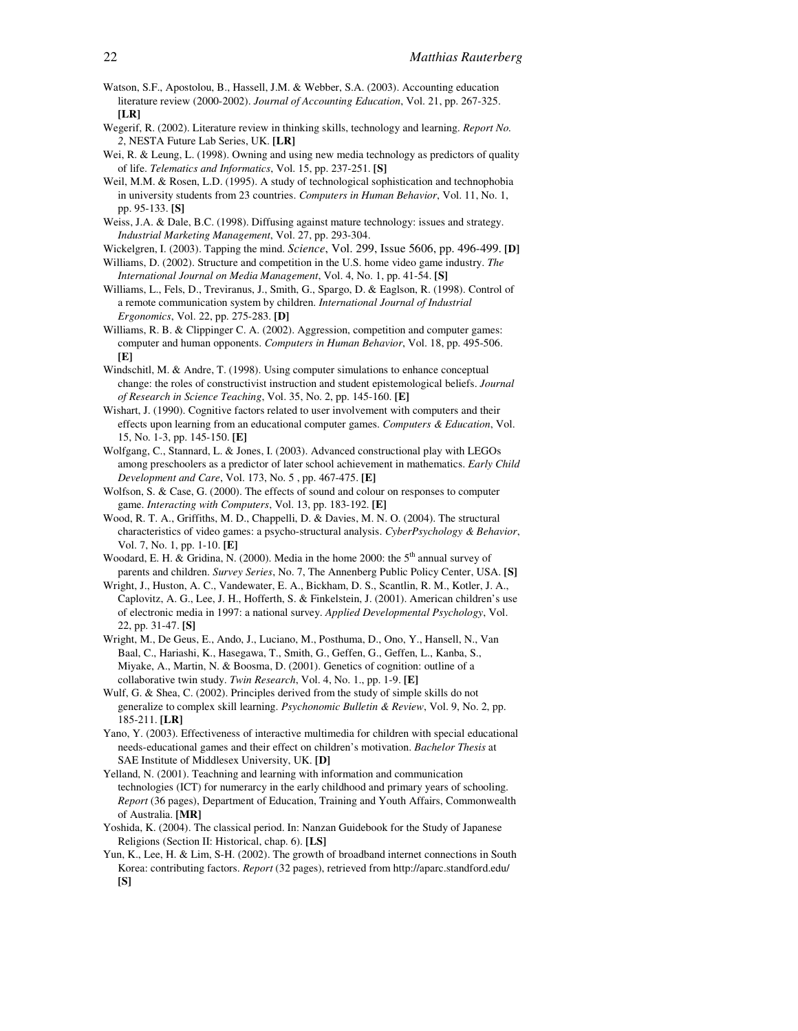- Watson, S.F., Apostolou, B., Hassell, J.M. & Webber, S.A. (2003). Accounting education literature review (2000-2002). *Journal of Accounting Education*, Vol. 21, pp. 267-325. **[LR]**
- Wegerif, R. (2002). Literature review in thinking skills, technology and learning. *Report No. 2*, NESTA Future Lab Series, UK. **[LR]**
- Wei, R. & Leung, L. (1998). Owning and using new media technology as predictors of quality of life. *Telematics and Informatics*, Vol. 15, pp. 237-251. **[S]**
- Weil, M.M. & Rosen, L.D. (1995). A study of technological sophistication and technophobia in university students from 23 countries. *Computers in Human Behavior*, Vol. 11, No. 1, pp. 95-133. **[S]**
- Weiss, J.A. & Dale, B.C. (1998). Diffusing against mature technology: issues and strategy. *Industrial Marketing Management*, Vol. 27, pp. 293-304.
- Wickelgren, I. (2003). Tapping the mind. *Science*, Vol. 299, Issue 5606, pp. 496-499. **[D]** Williams, D. (2002). Structure and competition in the U.S. home video game industry. *The*
- *International Journal on Media Management*, Vol. 4, No. 1, pp. 41-54. **[S]** Williams, L., Fels, D., Treviranus, J., Smith, G., Spargo, D. & Eaglson, R. (1998). Control of a remote communication system by children. *International Journal of Industrial Ergonomics*, Vol. 22, pp. 275-283. **[D]**
- Williams, R. B. & Clippinger C. A. (2002). Aggression, competition and computer games: computer and human opponents. *Computers in Human Behavior*, Vol. 18, pp. 495-506. **[E]**
- Windschitl, M. & Andre, T. (1998). Using computer simulations to enhance conceptual change: the roles of constructivist instruction and student epistemological beliefs. *Journal of Research in Science Teaching*, Vol. 35, No. 2, pp. 145-160. **[E]**
- Wishart, J. (1990). Cognitive factors related to user involvement with computers and their effects upon learning from an educational computer games. *Computers & Education*, Vol. 15, No. 1-3, pp. 145-150. **[E]**
- Wolfgang, C., Stannard, L. & Jones, I. (2003). Advanced constructional play with LEGOs among preschoolers as a predictor of later school achievement in mathematics. *Early Child Development and Care*, Vol. 173, No. 5 , pp. 467-475. **[E]**
- Wolfson, S. & Case, G. (2000). The effects of sound and colour on responses to computer game. *Interacting with Computers*, Vol. 13, pp. 183-192. **[E]**
- Wood, R. T. A., Griffiths, M. D., Chappelli, D. & Davies, M. N. O. (2004). The structural characteristics of video games: a psycho-structural analysis. *CyberPsychology & Behavior*, Vol. 7, No. 1, pp. 1-10. **[E]**
- Woodard, E. H. & Gridina, N. (2000). Media in the home 2000: the 5<sup>th</sup> annual survey of parents and children. *Survey Series*, No. 7, The Annenberg Public Policy Center, USA. **[S]**
- Wright, J., Huston, A. C., Vandewater, E. A., Bickham, D. S., Scantlin, R. M., Kotler, J. A., Caplovitz, A. G., Lee, J. H., Hofferth, S. & Finkelstein, J. (2001). American children's use of electronic media in 1997: a national survey. *Applied Developmental Psychology*, Vol. 22, pp. 31-47. **[S]**
- Wright, M., De Geus, E., Ando, J., Luciano, M., Posthuma, D., Ono, Y., Hansell, N., Van Baal, C., Hariashi, K., Hasegawa, T., Smith, G., Geffen, G., Geffen, L., Kanba, S., Miyake, A., Martin, N. & Boosma, D. (2001). Genetics of cognition: outline of a collaborative twin study. *Twin Research*, Vol. 4, No. 1., pp. 1-9. **[E]**
- Wulf, G. & Shea, C. (2002). Principles derived from the study of simple skills do not generalize to complex skill learning. *Psychonomic Bulletin & Review*, Vol. 9, No. 2, pp. 185-211. **[LR]**
- Yano, Y. (2003). Effectiveness of interactive multimedia for children with special educational needs-educational games and their effect on children's motivation. *Bachelor Thesis* at SAE Institute of Middlesex University, UK. **[D]**
- Yelland, N. (2001). Teachning and learning with information and communication technologies (ICT) for numerarcy in the early childhood and primary years of schooling. *Report* (36 pages), Department of Education, Training and Youth Affairs, Commonwealth of Australia. **[MR]**
- Yoshida, K. (2004). The classical period. In: Nanzan Guidebook for the Study of Japanese Religions (Section II: Historical, chap. 6). **[LS]**
- Yun, K., Lee, H. & Lim, S-H. (2002). The growth of broadband internet connections in South Korea: contributing factors. *Report* (32 pages), retrieved from http://aparc.standford.edu/ **[S]**